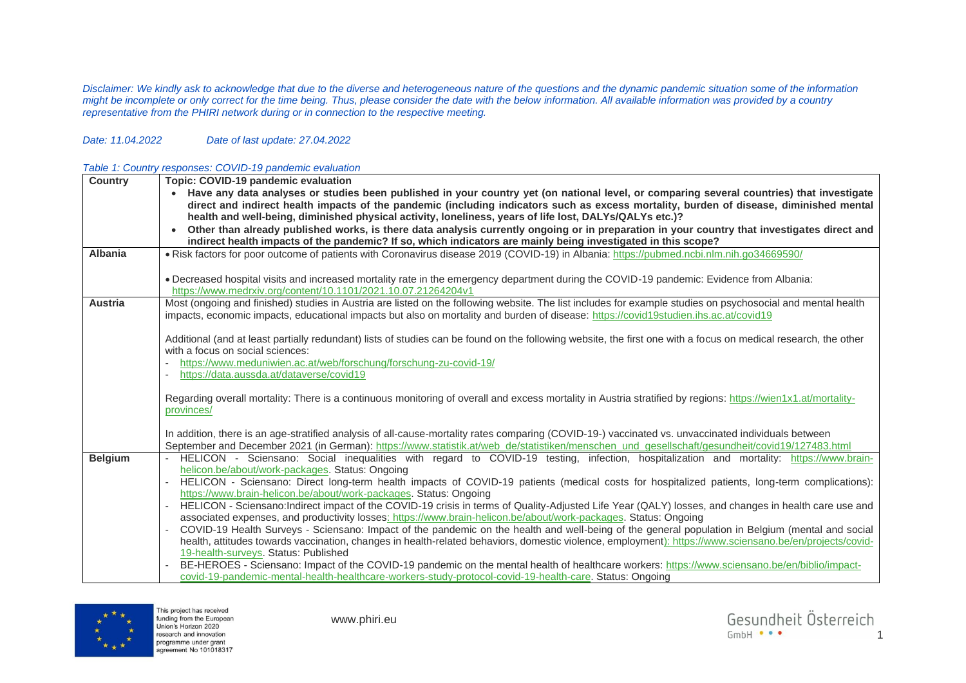*Disclaimer: We kindly ask to acknowledge that due to the diverse and heterogeneous nature of the questions and the dynamic pandemic situation some of the information*  might be incomplete or only correct for the time being. Thus, please consider the date with the below information. All available information was provided by a country *representative from the PHIRI network during or in connection to the respective meeting.*

## *Date: 11.04.2022 Date of last update: 27.04.2022*

## *Table 1: Country responses: COVID-19 pandemic evaluation*

| <b>Country</b> | Topic: COVID-19 pandemic evaluation                                                                                                                                                                                                                                                                 |
|----------------|-----------------------------------------------------------------------------------------------------------------------------------------------------------------------------------------------------------------------------------------------------------------------------------------------------|
|                | Have any data analyses or studies been published in your country yet (on national level, or comparing several countries) that investigate                                                                                                                                                           |
|                | direct and indirect health impacts of the pandemic (including indicators such as excess mortality, burden of disease, diminished mental                                                                                                                                                             |
|                | health and well-being, diminished physical activity, loneliness, years of life lost, DALYs/QALYs etc.)?                                                                                                                                                                                             |
|                | Other than already published works, is there data analysis currently ongoing or in preparation in your country that investigates direct and                                                                                                                                                         |
|                | indirect health impacts of the pandemic? If so, which indicators are mainly being investigated in this scope?                                                                                                                                                                                       |
| <b>Albania</b> | . Risk factors for poor outcome of patients with Coronavirus disease 2019 (COVID-19) in Albania: https://pubmed.ncbi.nlm.nih.go34669590/                                                                                                                                                            |
|                | . Decreased hospital visits and increased mortality rate in the emergency department during the COVID-19 pandemic: Evidence from Albania:                                                                                                                                                           |
|                | https://www.medrxiv.org/content/10.1101/2021.10.07.21264204v1                                                                                                                                                                                                                                       |
| <b>Austria</b> | Most (ongoing and finished) studies in Austria are listed on the following website. The list includes for example studies on psychosocial and mental health<br>impacts, economic impacts, educational impacts but also on mortality and burden of disease: https://covid19studien.ihs.ac.at/covid19 |
|                | Additional (and at least partially redundant) lists of studies can be found on the following website, the first one with a focus on medical research, the other                                                                                                                                     |
|                | with a focus on social sciences:                                                                                                                                                                                                                                                                    |
|                | https://www.meduniwien.ac.at/web/forschung/forschung-zu-covid-19/                                                                                                                                                                                                                                   |
|                | https://data.aussda.at/dataverse/covid19                                                                                                                                                                                                                                                            |
|                | Regarding overall mortality: There is a continuous monitoring of overall and excess mortality in Austria stratified by regions: https://wien1x1.at/mortality-<br>provinces/                                                                                                                         |
|                | In addition, there is an age-stratified analysis of all-cause-mortality rates comparing (COVID-19-) vaccinated vs. unvaccinated individuals between                                                                                                                                                 |
|                | September and December 2021 (in German): https://www.statistik.at/web_de/statistiken/menschen_und_gesellschaft/gesundheit/covid19/127483.html                                                                                                                                                       |
| <b>Belgium</b> | HELICON - Sciensano: Social inequalities with regard to COVID-19 testing, infection, hospitalization and mortality: https://www.brain-                                                                                                                                                              |
|                | helicon.be/about/work-packages. Status: Ongoing                                                                                                                                                                                                                                                     |
|                | HELICON - Sciensano: Direct long-term health impacts of COVID-19 patients (medical costs for hospitalized patients, long-term complications):                                                                                                                                                       |
|                | https://www.brain-helicon.be/about/work-packages. Status: Ongoing                                                                                                                                                                                                                                   |
|                | HELICON - Sciensano: Indirect impact of the COVID-19 crisis in terms of Quality-Adjusted Life Year (QALY) losses, and changes in health care use and                                                                                                                                                |
|                | associated expenses, and productivity losses: https://www.brain-helicon.be/about/work-packages. Status: Ongoing                                                                                                                                                                                     |
|                | COVID-19 Health Surveys - Sciensano: Impact of the pandemic on the health and well-being of the general population in Belgium (mental and social                                                                                                                                                    |
|                | health, attitudes towards vaccination, changes in health-related behaviors, domestic violence, employment): https://www.sciensano.be/en/projects/covid-                                                                                                                                             |
|                | 19-health-surveys. Status: Published<br>BE-HEROES - Sciensano: Impact of the COVID-19 pandemic on the mental health of healthcare workers: https://www.sciensano.be/en/biblio/impact-                                                                                                               |
|                | covid-19-pandemic-mental-health-healthcare-workers-study-protocol-covid-19-health-care. Status: Ongoing                                                                                                                                                                                             |
|                |                                                                                                                                                                                                                                                                                                     |

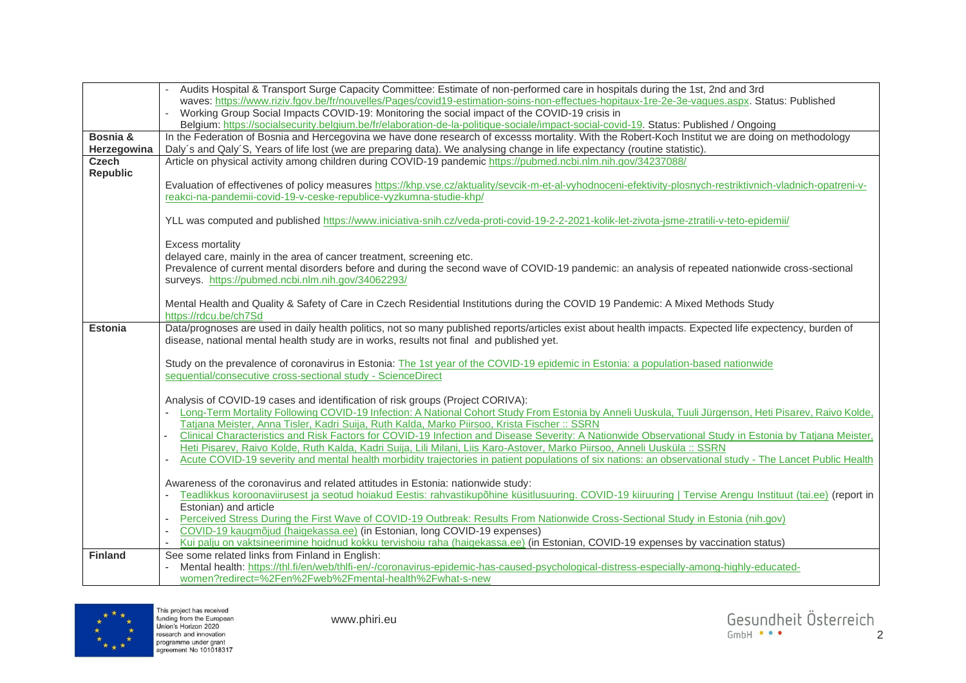|                 | Audits Hospital & Transport Surge Capacity Committee: Estimate of non-performed care in hospitals during the 1st, 2nd and 3rd                                                                           |
|-----------------|---------------------------------------------------------------------------------------------------------------------------------------------------------------------------------------------------------|
|                 | waves: https://www.riziv.fgov.be/fr/nouvelles/Pages/covid19-estimation-soins-non-effectues-hopitaux-1re-2e-3e-vagues.aspx. Status: Published                                                            |
|                 | Working Group Social Impacts COVID-19: Monitoring the social impact of the COVID-19 crisis in                                                                                                           |
|                 | Belgium: https://socialsecurity.belgium.be/fr/elaboration-de-la-politique-sociale/impact-social-covid-19. Status: Published / Ongoing                                                                   |
| Bosnia &        | In the Federation of Bosnia and Hercegovina we have done research of excesss mortality. With the Robert-Koch Institut we are doing on methodology                                                       |
| Herzegowina     | Daly's and Qaly'S, Years of life lost (we are preparing data). We analysing change in life expectancy (routine statistic).                                                                              |
| Czech           | Article on physical activity among children during COVID-19 pandemic https://pubmed.ncbi.nlm.nih.gov/34237088/                                                                                          |
| <b>Republic</b> |                                                                                                                                                                                                         |
|                 | Evaluation of effectivenes of policy measures https://khp.vse.cz/aktuality/sevcik-m-et-al-vyhodnoceni-efektivity-plosnych-restriktivnich-vladnich-opatreni-v-                                           |
|                 | reakci-na-pandemii-covid-19-v-ceske-republice-vyzkumna-studie-khp/                                                                                                                                      |
|                 |                                                                                                                                                                                                         |
|                 | YLL was computed and published https://www.iniciativa-snih.cz/veda-proti-covid-19-2-2-2021-kolik-let-zivota-jsme-ztratili-v-teto-epidemii/                                                              |
|                 |                                                                                                                                                                                                         |
|                 | <b>Excess mortality</b>                                                                                                                                                                                 |
|                 | delayed care, mainly in the area of cancer treatment, screening etc.                                                                                                                                    |
|                 | Prevalence of current mental disorders before and during the second wave of COVID-19 pandemic: an analysis of repeated nationwide cross-sectional<br>surveys. https://pubmed.ncbi.nlm.nih.gov/34062293/ |
|                 |                                                                                                                                                                                                         |
|                 | Mental Health and Quality & Safety of Care in Czech Residential Institutions during the COVID 19 Pandemic: A Mixed Methods Study                                                                        |
|                 | https://rdcu.be/ch7Sd                                                                                                                                                                                   |
| <b>Estonia</b>  | Data/prognoses are used in daily health politics, not so many published reports/articles exist about health impacts. Expected life expectency, burden of                                                |
|                 | disease, national mental health study are in works, results not final and published yet.                                                                                                                |
|                 |                                                                                                                                                                                                         |
|                 | Study on the prevalence of coronavirus in Estonia: The 1st year of the COVID-19 epidemic in Estonia: a population-based nationwide                                                                      |
|                 | sequential/consecutive cross-sectional study - ScienceDirect                                                                                                                                            |
|                 |                                                                                                                                                                                                         |
|                 | Analysis of COVID-19 cases and identification of risk groups (Project CORIVA):                                                                                                                          |
|                 | Long-Term Mortality Following COVID-19 Infection: A National Cohort Study From Estonia by Anneli Uuskula, Tuuli Jürgenson, Heti Pisarev, Raivo Kolde,                                                   |
|                 | Tatjana Meister, Anna Tisler, Kadri Suija, Ruth Kalda, Marko Piirsoo, Krista Fischer :: SSRN                                                                                                            |
|                 | Clinical Characteristics and Risk Factors for COVID-19 Infection and Disease Severity: A Nationwide Observational Study in Estonia by Tatjana Meister,                                                  |
|                 | Heti Pisarev, Raivo Kolde, Ruth Kalda, Kadri Suija, Lili Milani, Liis Karo-Astover, Marko Piirsoo, Anneli Uusküla :: SSRN                                                                               |
|                 | Acute COVID-19 severity and mental health morbidity trajectories in patient populations of six nations: an observational study - The Lancet Public Health                                               |
|                 | Awareness of the coronavirus and related attitudes in Estonia: nationwide study:                                                                                                                        |
|                 | Teadlikkus koroonaviirusest ja seotud hoiakud Eestis: rahvastikupõhine küsitlusuuring. COVID-19 kiiruuring   Tervise Arengu Instituut (tai.ee) (report in                                               |
|                 | Estonian) and article                                                                                                                                                                                   |
|                 | Perceived Stress During the First Wave of COVID-19 Outbreak: Results From Nationwide Cross-Sectional Study in Estonia (nih.gov)                                                                         |
|                 | COVID-19 kaugmõjud (haigekassa.ee) (in Estonian, long COVID-19 expenses)                                                                                                                                |
|                 | Kui palju on vaktsineerimine hoidnud kokku tervishoiu raha (haigekassa.ee) (in Estonian, COVID-19 expenses by vaccination status)                                                                       |
| <b>Finland</b>  | See some related links from Finland in English:                                                                                                                                                         |
|                 | Mental health: https://thl.fi/en/web/thlfi-en/-/coronavirus-epidemic-has-caused-psychological-distress-especially-among-highly-educated-                                                                |
|                 | women?redirect=%2Fen%2Fweb%2Fmental-health%2Fwhat-s-new                                                                                                                                                 |

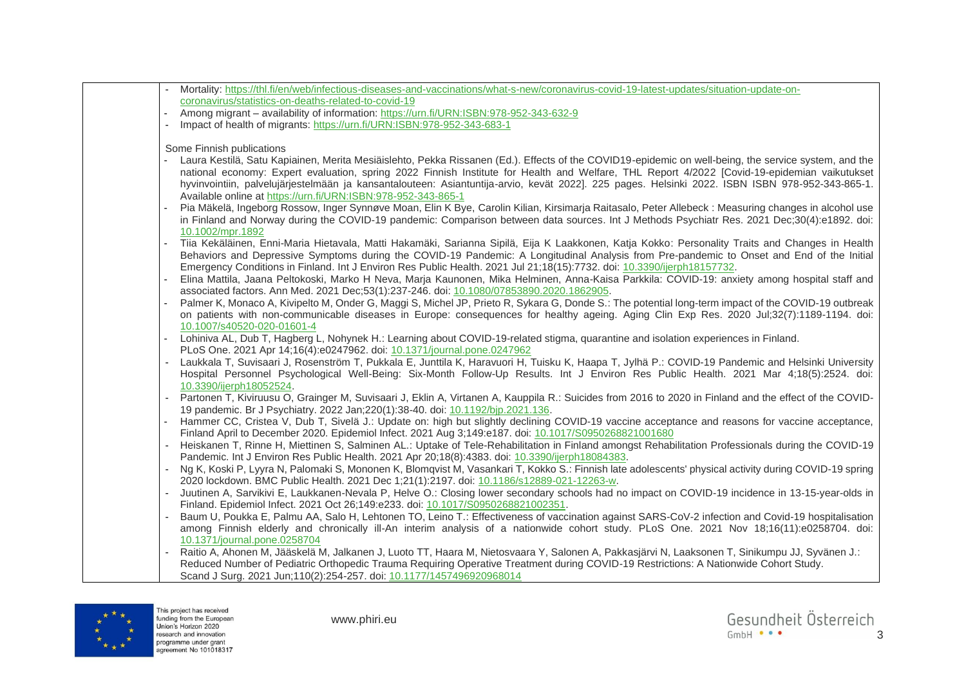| Mortality: https://thl.fi/en/web/infectious-diseases-and-vaccinations/what-s-new/coronavirus-covid-19-latest-updates/situation-update-on-                                                                                                                                                                                                                        |
|------------------------------------------------------------------------------------------------------------------------------------------------------------------------------------------------------------------------------------------------------------------------------------------------------------------------------------------------------------------|
| coronavirus/statistics-on-deaths-related-to-covid-19                                                                                                                                                                                                                                                                                                             |
| Among migrant - availability of information: https://urn.fi/URN:ISBN:978-952-343-632-9                                                                                                                                                                                                                                                                           |
| Impact of health of migrants: https://urn.fi/URN:ISBN:978-952-343-683-1                                                                                                                                                                                                                                                                                          |
| Some Finnish publications                                                                                                                                                                                                                                                                                                                                        |
| Laura Kestilä, Satu Kapiainen, Merita Mesiäislehto, Pekka Rissanen (Ed.). Effects of the COVID19-epidemic on well-being, the service system, and the                                                                                                                                                                                                             |
| national economy: Expert evaluation, spring 2022 Finnish Institute for Health and Welfare, THL Report 4/2022 [Covid-19-epidemian vaikutukset<br>hyvinvointiin, palvelujärjestelmään ja kansantalouteen: Asiantuntija-arvio, kevät 2022]. 225 pages. Helsinki 2022. ISBN ISBN 978-952-343-865-1.<br>Available online at https://urn.fi/URN:ISBN:978-952-343-865-1 |
| Pia Mäkelä, Ingeborg Rossow, Inger Synnøve Moan, Elin K Bye, Carolin Kilian, Kirsimarja Raitasalo, Peter Allebeck : Measuring changes in alcohol use<br>in Finland and Norway during the COVID-19 pandemic: Comparison between data sources. Int J Methods Psychiatr Res. 2021 Dec;30(4):e1892. doi:<br>10.1002/mpr.1892                                         |
| Tiia Kekäläinen, Enni-Maria Hietavala, Matti Hakamäki, Sarianna Sipilä, Eija K Laakkonen, Katja Kokko: Personality Traits and Changes in Health<br>Behaviors and Depressive Symptoms during the COVID-19 Pandemic: A Longitudinal Analysis from Pre-pandemic to Onset and End of the Initial                                                                     |
| Emergency Conditions in Finland. Int J Environ Res Public Health. 2021 Jul 21;18(15):7732. doi: 10.3390/ijerph18157732.                                                                                                                                                                                                                                          |
| Elina Mattila, Jaana Peltokoski, Marko H Neva, Marja Kaunonen, Mika Helminen, Anna-Kaisa Parkkila: COVID-19: anxiety among hospital staff and<br>associated factors. Ann Med. 2021 Dec;53(1):237-246. doi: 10.1080/07853890.2020.1862905.                                                                                                                        |
| Palmer K, Monaco A, Kivipelto M, Onder G, Maggi S, Michel JP, Prieto R, Sykara G, Donde S.: The potential long-term impact of the COVID-19 outbreak                                                                                                                                                                                                              |
| on patients with non-communicable diseases in Europe: consequences for healthy ageing. Aging Clin Exp Res. 2020 Jul;32(7):1189-1194. doi:<br>10.1007/s40520-020-01601-4                                                                                                                                                                                          |
| Lohiniva AL, Dub T, Hagberg L, Nohynek H.: Learning about COVID-19-related stigma, quarantine and isolation experiences in Finland.<br>PLoS One. 2021 Apr 14;16(4):e0247962. doi: 10.1371/journal.pone.0247962                                                                                                                                                   |
| Laukkala T, Suvisaari J, Rosenström T, Pukkala E, Junttila K, Haravuori H, Tuisku K, Haapa T, Jylhä P.: COVID-19 Pandemic and Helsinki University<br>Hospital Personnel Psychological Well-Being: Six-Month Follow-Up Results. Int J Environ Res Public Health. 2021 Mar 4;18(5):2524. doi:                                                                      |
| 10.3390/ijerph18052524.                                                                                                                                                                                                                                                                                                                                          |
| Partonen T, Kiviruusu O, Grainger M, Suvisaari J, Eklin A, Virtanen A, Kauppila R.: Suicides from 2016 to 2020 in Finland and the effect of the COVID-<br>19 pandemic. Br J Psychiatry. 2022 Jan;220(1):38-40. doi: 10.1192/bjp.2021.136.                                                                                                                        |
| Hammer CC, Cristea V, Dub T, Sivelä J.: Update on: high but slightly declining COVID-19 vaccine acceptance and reasons for vaccine acceptance,<br>Finland April to December 2020. Epidemiol Infect. 2021 Aug 3;149:e187. doi: 10.1017/S0950268821001680                                                                                                          |
| Heiskanen T, Rinne H, Miettinen S, Salminen AL.: Uptake of Tele-Rehabilitation in Finland amongst Rehabilitation Professionals during the COVID-19<br>Pandemic. Int J Environ Res Public Health. 2021 Apr 20;18(8):4383. doi: 10.3390/ijerph18084383.                                                                                                            |
| Ng K, Koski P, Lyyra N, Palomaki S, Mononen K, Blomqvist M, Vasankari T, Kokko S.: Finnish late adolescents' physical activity during COVID-19 spring<br>2020 lockdown. BMC Public Health. 2021 Dec 1;21(1):2197. doi: 10.1186/s12889-021-12263-w.                                                                                                               |
| Juutinen A, Sarvikivi E, Laukkanen-Nevala P, Helve O.: Closing lower secondary schools had no impact on COVID-19 incidence in 13-15-year-olds in                                                                                                                                                                                                                 |
| Finland. Epidemiol Infect. 2021 Oct 26;149:e233. doi: 10.1017/S0950268821002351.                                                                                                                                                                                                                                                                                 |
| Baum U, Poukka E, Palmu AA, Salo H, Lehtonen TO, Leino T.: Effectiveness of vaccination against SARS-CoV-2 infection and Covid-19 hospitalisation<br>among Finnish elderly and chronically ill-An interim analysis of a nationwide cohort study. PLoS One. 2021 Nov 18;16(11):e0258704. doi:                                                                     |
| 10.1371/journal.pone.0258704                                                                                                                                                                                                                                                                                                                                     |
| Raitio A, Ahonen M, Jääskelä M, Jalkanen J, Luoto TT, Haara M, Nietosvaara Y, Salonen A, Pakkasjärvi N, Laaksonen T, Sinikumpu JJ, Syvänen J.:<br>Reduced Number of Pediatric Orthopedic Trauma Requiring Operative Treatment during COVID-19 Restrictions: A Nationwide Cohort Study.                                                                           |
| Scand J Surg. 2021 Jun;110(2):254-257. doi: 10.1177/1457496920968014                                                                                                                                                                                                                                                                                             |

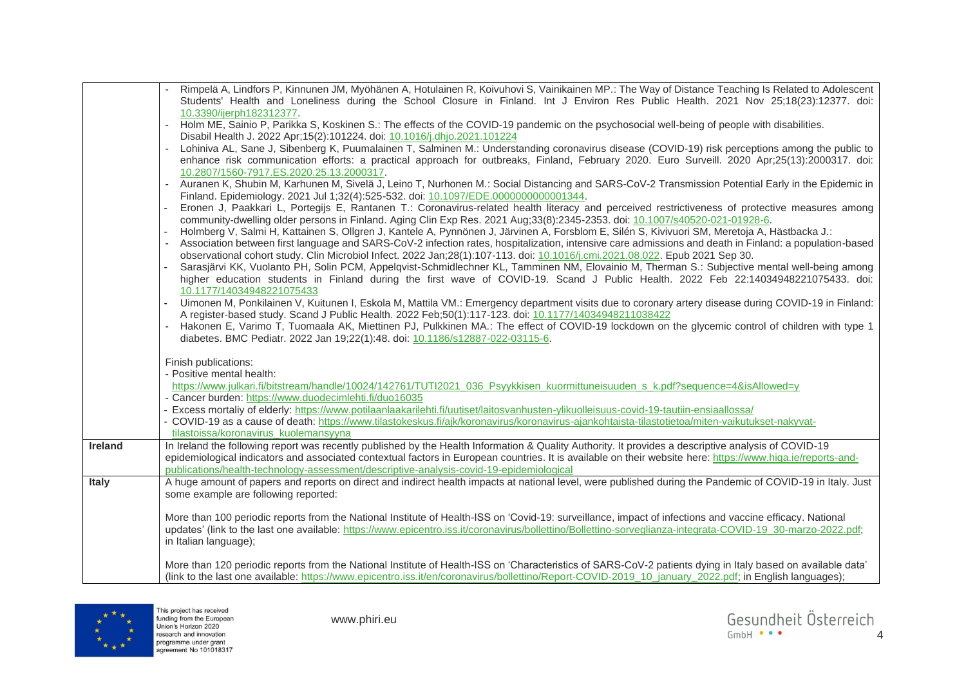|                | Rimpelä A, Lindfors P, Kinnunen JM, Myöhänen A, Hotulainen R, Koivuhovi S, Vainikainen MP.: The Way of Distance Teaching Is Related to Adolescent<br>Students' Health and Loneliness during the School Closure in Finland. Int J Environ Res Public Health. 2021 Nov 25;18(23):12377. doi: |
|----------------|--------------------------------------------------------------------------------------------------------------------------------------------------------------------------------------------------------------------------------------------------------------------------------------------|
|                | 10.3390/ijerph182312377.                                                                                                                                                                                                                                                                   |
|                | Holm ME, Sainio P, Parikka S, Koskinen S.: The effects of the COVID-19 pandemic on the psychosocial well-being of people with disabilities.                                                                                                                                                |
|                | Disabil Health J. 2022 Apr; 15(2): 101224. doi: 10.1016/j.dhjo.2021.101224                                                                                                                                                                                                                 |
|                | Lohiniva AL, Sane J, Sibenberg K, Puumalainen T, Salminen M.: Understanding coronavirus disease (COVID-19) risk perceptions among the public to                                                                                                                                            |
|                | enhance risk communication efforts: a practical approach for outbreaks, Finland, February 2020. Euro Surveill. 2020 Apr;25(13):2000317. doi:                                                                                                                                               |
|                | 10.2807/1560-7917.ES.2020.25.13.2000317.                                                                                                                                                                                                                                                   |
|                | Auranen K, Shubin M, Karhunen M, Sivelä J, Leino T, Nurhonen M.: Social Distancing and SARS-CoV-2 Transmission Potential Early in the Epidemic in                                                                                                                                          |
|                | Finland. Epidemiology. 2021 Jul 1;32(4):525-532. doi: 10.1097/EDE.0000000000001344.                                                                                                                                                                                                        |
|                | Eronen J, Paakkari L, Portegijs E, Rantanen T.: Coronavirus-related health literacy and perceived restrictiveness of protective measures among                                                                                                                                             |
|                | community-dwelling older persons in Finland. Aging Clin Exp Res. 2021 Aug;33(8):2345-2353. doi: 10.1007/s40520-021-01928-6.                                                                                                                                                                |
|                | Holmberg V, Salmi H, Kattainen S, Ollgren J, Kantele A, Pynnönen J, Järvinen A, Forsblom E, Silén S, Kivivuori SM, Meretoja A, Hästbacka J.:                                                                                                                                               |
|                | Association between first language and SARS-CoV-2 infection rates, hospitalization, intensive care admissions and death in Finland: a population-based<br>observational cohort study. Clin Microbiol Infect. 2022 Jan;28(1):107-113. doi: 10.1016/j.cmi.2021.08.022. Epub 2021 Sep 30.     |
|                | Sarasjärvi KK, Vuolanto PH, Solin PCM, Appelqvist-Schmidlechner KL, Tamminen NM, Elovainio M, Therman S.: Subjective mental well-being among                                                                                                                                               |
|                | higher education students in Finland during the first wave of COVID-19. Scand J Public Health. 2022 Feb 22:14034948221075433. doi:                                                                                                                                                         |
|                | 10.1177/14034948221075433                                                                                                                                                                                                                                                                  |
|                | Uimonen M, Ponkilainen V, Kuitunen I, Eskola M, Mattila VM.: Emergency department visits due to coronary artery disease during COVID-19 in Finland:                                                                                                                                        |
|                | A register-based study. Scand J Public Health. 2022 Feb;50(1):117-123. doi: 10.1177/14034948211038422                                                                                                                                                                                      |
|                | Hakonen E, Varimo T, Tuomaala AK, Miettinen PJ, Pulkkinen MA.: The effect of COVID-19 lockdown on the glycemic control of children with type 1                                                                                                                                             |
|                | diabetes. BMC Pediatr. 2022 Jan 19;22(1):48. doi: 10.1186/s12887-022-03115-6.                                                                                                                                                                                                              |
|                |                                                                                                                                                                                                                                                                                            |
|                | Finish publications:<br>- Positive mental health:                                                                                                                                                                                                                                          |
|                | https://www.julkari.fi/bitstream/handle/10024/142761/TUTI2021_036_Psyykkisen_kuormittuneisuuden_s_k.pdf?sequence=4&isAllowed=y                                                                                                                                                             |
|                | - Cancer burden: https://www.duodecimlehti.fi/duo16035                                                                                                                                                                                                                                     |
|                | - Excess mortaliy of elderly: https://www.potilaanlaakarilehti.fi/uutiset/laitosvanhusten-ylikuolleisuus-covid-19-tautiin-ensiaallossa/                                                                                                                                                    |
|                | - COVID-19 as a cause of death: https://www.tilastokeskus.fi/ajk/koronavirus/koronavirus-ajankohtaista-tilastotietoa/miten-vaikutukset-nakyvat-                                                                                                                                            |
|                | tilastoissa/koronavirus_kuolemansyyna                                                                                                                                                                                                                                                      |
| <b>Ireland</b> | In Ireland the following report was recently published by the Health Information & Quality Authority. It provides a descriptive analysis of COVID-19                                                                                                                                       |
|                | epidemiological indicators and associated contextual factors in European countries. It is available on their website here: https://www.higa.ie/reports-and-                                                                                                                                |
|                | publications/health-technology-assessment/descriptive-analysis-covid-19-epidemiological                                                                                                                                                                                                    |
| <b>Italy</b>   | A huge amount of papers and reports on direct and indirect health impacts at national level, were published during the Pandemic of COVID-19 in Italy. Just                                                                                                                                 |
|                | some example are following reported:                                                                                                                                                                                                                                                       |
|                | More than 100 periodic reports from the National Institute of Health-ISS on 'Covid-19: surveillance, impact of infections and vaccine efficacy. National                                                                                                                                   |
|                | updates' (link to the last one available: https://www.epicentro.iss.it/coronavirus/bollettino/Bollettino-sorveglianza-integrata-COVID-19_30-marzo-2022.pdf;                                                                                                                                |
|                | in Italian language);                                                                                                                                                                                                                                                                      |
|                |                                                                                                                                                                                                                                                                                            |
|                | More than 120 periodic reports from the National Institute of Health-ISS on 'Characteristics of SARS-CoV-2 patients dying in Italy based on available data'                                                                                                                                |
|                | (link to the last one available: https://www.epicentro.iss.it/en/coronavirus/bollettino/Report-COVID-2019_10_january_2022.pdf; in English languages);                                                                                                                                      |

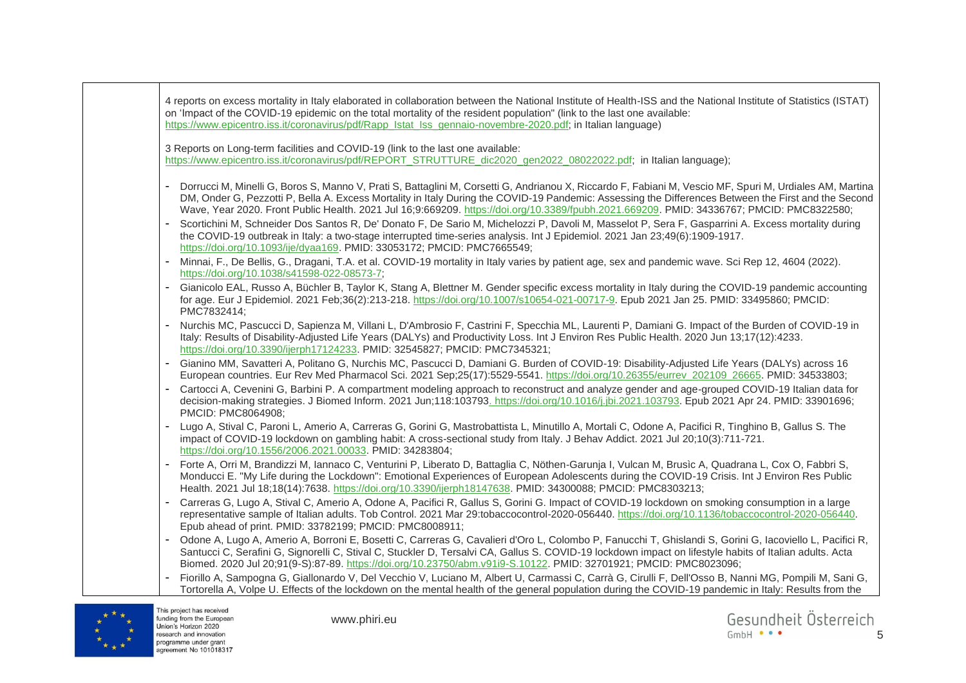



funding from the European Union's Horizon 2020 research and innovation programme under grant agreement No 101018317

www.phiri.eu

Gesundheit Österreich  $GmhH$   $\bullet$   $\bullet$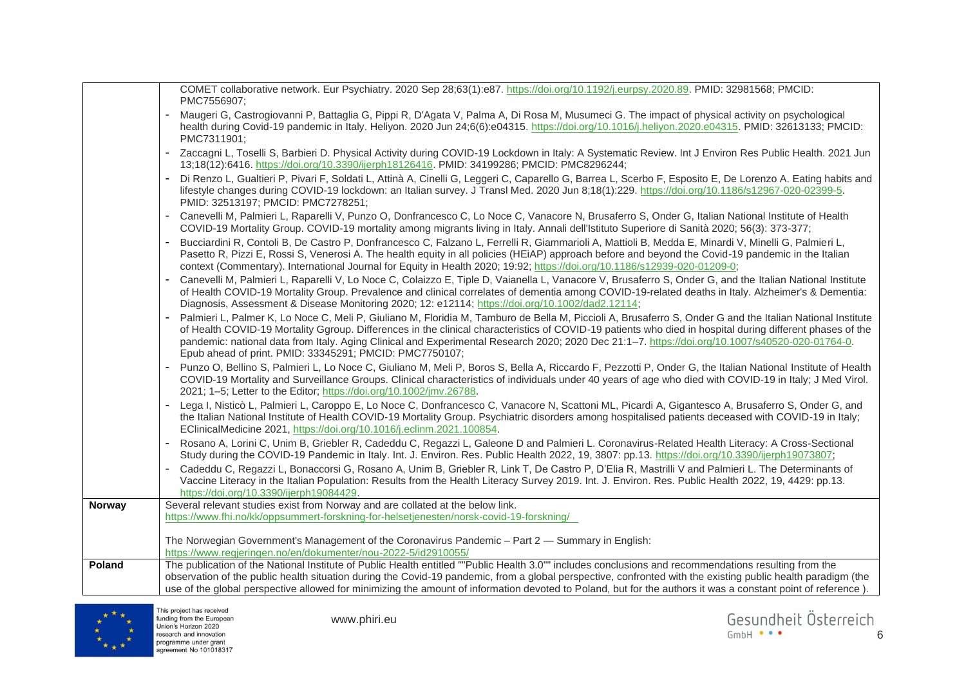|               | COMET collaborative network. Eur Psychiatry. 2020 Sep 28;63(1):e87. https://doi.org/10.1192/j.eurpsy.2020.89. PMID: 32981568; PMCID:<br>PMC7556907;                                                                                                                                                                                                                                                                                                                                                                                  |
|---------------|--------------------------------------------------------------------------------------------------------------------------------------------------------------------------------------------------------------------------------------------------------------------------------------------------------------------------------------------------------------------------------------------------------------------------------------------------------------------------------------------------------------------------------------|
|               | Maugeri G, Castrogiovanni P, Battaglia G, Pippi R, D'Agata V, Palma A, Di Rosa M, Musumeci G. The impact of physical activity on psychological<br>health during Covid-19 pandemic in Italy. Heliyon. 2020 Jun 24;6(6):e04315. https://doi.org/10.1016/j.heliyon.2020.e04315. PMID: 32613133; PMCID:<br>PMC7311901;                                                                                                                                                                                                                   |
|               | - Zaccagni L, Toselli S, Barbieri D. Physical Activity during COVID-19 Lockdown in Italy: A Systematic Review. Int J Environ Res Public Health. 2021 Jun<br>13;18(12):6416. https://doi.org/10.3390/ijerph18126416. PMID: 34199286; PMCID: PMC8296244;                                                                                                                                                                                                                                                                               |
|               | Di Renzo L, Gualtieri P, Pivari F, Soldati L, Attinà A, Cinelli G, Leggeri C, Caparello G, Barrea L, Scerbo F, Esposito E, De Lorenzo A. Eating habits and<br>lifestyle changes during COVID-19 lockdown: an Italian survey. J Transl Med. 2020 Jun 8;18(1):229. https://doi.org/10.1186/s12967-020-02399-5.<br>PMID: 32513197; PMCID: PMC7278251;                                                                                                                                                                                   |
|               | Canevelli M, Palmieri L, Raparelli V, Punzo O, Donfrancesco C, Lo Noce C, Vanacore N, Brusaferro S, Onder G, Italian National Institute of Health<br>COVID-19 Mortality Group. COVID-19 mortality among migrants living in Italy. Annali dell'Istituto Superiore di Sanità 2020; 56(3): 373-377;                                                                                                                                                                                                                                     |
|               | Bucciardini R, Contoli B, De Castro P, Donfrancesco C, Falzano L, Ferrelli R, Giammarioli A, Mattioli B, Medda E, Minardi V, Minelli G, Palmieri L,<br>Pasetto R, Pizzi E, Rossi S, Venerosi A. The health equity in all policies (HEiAP) approach before and beyond the Covid-19 pandemic in the Italian<br>context (Commentary). International Journal for Equity in Health 2020; 19:92; https://doi.org/10.1186/s12939-020-01209-0;                                                                                               |
|               | Canevelli M, Palmieri L, Raparelli V, Lo Noce C, Colaizzo E, Tiple D, Vaianella L, Vanacore V, Brusaferro S, Onder G, and the Italian National Institute<br>of Health COVID-19 Mortality Group. Prevalence and clinical correlates of dementia among COVID-19-related deaths in Italy. Alzheimer's & Dementia:<br>Diagnosis, Assessment & Disease Monitoring 2020; 12: e12114; https://doi.org/10.1002/dad2.12114;                                                                                                                   |
|               | Palmieri L, Palmer K, Lo Noce C, Meli P, Giuliano M, Floridia M, Tamburo de Bella M, Piccioli A, Brusaferro S, Onder G and the Italian National Institute<br>of Health COVID-19 Mortality Ggroup. Differences in the clinical characteristics of COVID-19 patients who died in hospital during different phases of the<br>pandemic: national data from Italy. Aging Clinical and Experimental Research 2020; 2020 Dec 21:1-7. https://doi.org/10.1007/s40520-020-01764-0.<br>Epub ahead of print. PMID: 33345291; PMCID: PMC7750107; |
|               | Punzo O, Bellino S, Palmieri L, Lo Noce C, Giuliano M, Meli P, Boros S, Bella A, Riccardo F, Pezzotti P, Onder G, the Italian National Institute of Health<br>COVID-19 Mortality and Surveillance Groups. Clinical characteristics of individuals under 40 years of age who died with COVID-19 in Italy; J Med Virol.<br>2021; 1-5; Letter to the Editor; https://doi.org/10.1002/jmv.26788.                                                                                                                                         |
|               | Lega I, Nisticò L, Palmieri L, Caroppo E, Lo Noce C, Donfrancesco C, Vanacore N, Scattoni ML, Picardi A, Gigantesco A, Brusaferro S, Onder G, and<br>the Italian National Institute of Health COVID-19 Mortality Group. Psychiatric disorders among hospitalised patients deceased with COVID-19 in Italy;<br>EClinicalMedicine 2021, https://doi.org/10.1016/j.eclinm.2021.100854.                                                                                                                                                  |
|               | Rosano A, Lorini C, Unim B, Griebler R, Cadeddu C, Regazzi L, Galeone D and Palmieri L. Coronavirus-Related Health Literacy: A Cross-Sectional<br>Study during the COVID-19 Pandemic in Italy. Int. J. Environ. Res. Public Health 2022, 19, 3807: pp.13. https://doi.org/10.3390/ijerph19073807;                                                                                                                                                                                                                                    |
|               | Cadeddu C, Regazzi L, Bonaccorsi G, Rosano A, Unim B, Griebler R, Link T, De Castro P, D'Elia R, Mastrilli V and Palmieri L. The Determinants of<br>Vaccine Literacy in the Italian Population: Results from the Health Literacy Survey 2019. Int. J. Environ. Res. Public Health 2022, 19, 4429: pp.13.<br>https://doi.org/10.3390/ijerph19084429.                                                                                                                                                                                  |
| <b>Norway</b> | Several relevant studies exist from Norway and are collated at the below link.<br>https://www.fhi.no/kk/oppsummert-forskning-for-helsetjenesten/norsk-covid-19-forskning/                                                                                                                                                                                                                                                                                                                                                            |
|               | The Norwegian Government's Management of the Coronavirus Pandemic - Part 2 - Summary in English:<br>https://www.regjeringen.no/en/dokumenter/nou-2022-5/id2910055/                                                                                                                                                                                                                                                                                                                                                                   |
| Poland        | The publication of the National Institute of Public Health entitled ""Public Health 3.0"" includes conclusions and recommendations resulting from the<br>observation of the public health situation during the Covid-19 pandemic, from a global perspective, confronted with the existing public health paradigm (the<br>use of the global perspective allowed for minimizing the amount of information devoted to Poland, but for the authors it was a constant point of reference).                                                |

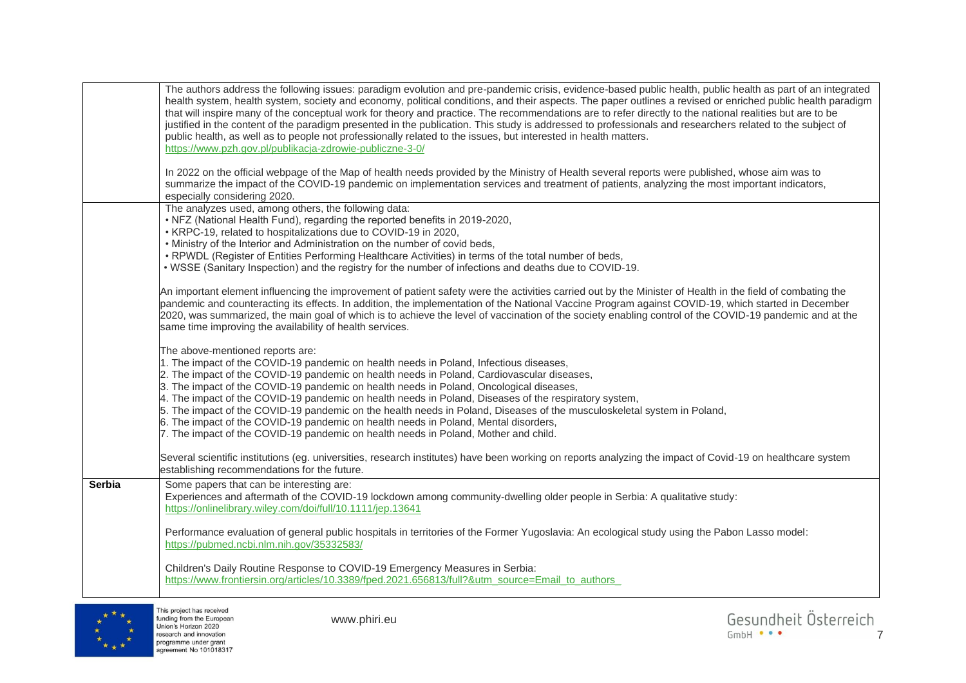|               | The authors address the following issues: paradigm evolution and pre-pandemic crisis, evidence-based public health, public health as part of an integrated<br>health system, health system, society and economy, political conditions, and their aspects. The paper outlines a revised or enriched public health paradigm<br>that will inspire many of the conceptual work for theory and practice. The recommendations are to refer directly to the national realities but are to be<br>justified in the content of the paradigm presented in the publication. This study is addressed to professionals and researchers related to the subject of<br>public health, as well as to people not professionally related to the issues, but interested in health matters.<br>https://www.pzh.gov.pl/publikacja-zdrowie-publiczne-3-0/<br>In 2022 on the official webpage of the Map of health needs provided by the Ministry of Health several reports were published, whose aim was to<br>summarize the impact of the COVID-19 pandemic on implementation services and treatment of patients, analyzing the most important indicators,<br>especially considering 2020. |
|---------------|---------------------------------------------------------------------------------------------------------------------------------------------------------------------------------------------------------------------------------------------------------------------------------------------------------------------------------------------------------------------------------------------------------------------------------------------------------------------------------------------------------------------------------------------------------------------------------------------------------------------------------------------------------------------------------------------------------------------------------------------------------------------------------------------------------------------------------------------------------------------------------------------------------------------------------------------------------------------------------------------------------------------------------------------------------------------------------------------------------------------------------------------------------------------|
|               | The analyzes used, among others, the following data:<br>. NFZ (National Health Fund), regarding the reported benefits in 2019-2020,<br>• KRPC-19, related to hospitalizations due to COVID-19 in 2020,<br>. Ministry of the Interior and Administration on the number of covid beds,<br>. RPWDL (Register of Entities Performing Healthcare Activities) in terms of the total number of beds,<br>. WSSE (Sanitary Inspection) and the registry for the number of infections and deaths due to COVID-19.                                                                                                                                                                                                                                                                                                                                                                                                                                                                                                                                                                                                                                                             |
|               | An important element influencing the improvement of patient safety were the activities carried out by the Minister of Health in the field of combating the<br>pandemic and counteracting its effects. In addition, the implementation of the National Vaccine Program against COVID-19, which started in December<br>2020, was summarized, the main goal of which is to achieve the level of vaccination of the society enabling control of the COVID-19 pandemic and at the<br>same time improving the availability of health services.                                                                                                                                                                                                                                                                                                                                                                                                                                                                                                                                                                                                                            |
|               | The above-mentioned reports are:<br>1. The impact of the COVID-19 pandemic on health needs in Poland, Infectious diseases,<br>2. The impact of the COVID-19 pandemic on health needs in Poland, Cardiovascular diseases,<br>3. The impact of the COVID-19 pandemic on health needs in Poland, Oncological diseases,<br>4. The impact of the COVID-19 pandemic on health needs in Poland, Diseases of the respiratory system,<br>5. The impact of the COVID-19 pandemic on the health needs in Poland, Diseases of the musculoskeletal system in Poland,<br>6. The impact of the COVID-19 pandemic on health needs in Poland, Mental disorders,<br>7. The impact of the COVID-19 pandemic on health needs in Poland, Mother and child.                                                                                                                                                                                                                                                                                                                                                                                                                               |
|               | Several scientific institutions (eg. universities, research institutes) have been working on reports analyzing the impact of Covid-19 on healthcare system<br>establishing recommendations for the future.                                                                                                                                                                                                                                                                                                                                                                                                                                                                                                                                                                                                                                                                                                                                                                                                                                                                                                                                                          |
| <b>Serbia</b> | Some papers that can be interesting are:<br>Experiences and aftermath of the COVID-19 lockdown among community-dwelling older people in Serbia: A qualitative study:<br>https://onlinelibrary.wiley.com/doi/full/10.1111/jep.13641                                                                                                                                                                                                                                                                                                                                                                                                                                                                                                                                                                                                                                                                                                                                                                                                                                                                                                                                  |
|               | Performance evaluation of general public hospitals in territories of the Former Yugoslavia: An ecological study using the Pabon Lasso model:<br>https://pubmed.ncbi.nlm.nih.gov/35332583/                                                                                                                                                                                                                                                                                                                                                                                                                                                                                                                                                                                                                                                                                                                                                                                                                                                                                                                                                                           |
|               | Children's Daily Routine Response to COVID-19 Emergency Measures in Serbia:<br>https://www.frontiersin.org/articles/10.3389/fped.2021.656813/full?&utm_source=Email_to_authors                                                                                                                                                                                                                                                                                                                                                                                                                                                                                                                                                                                                                                                                                                                                                                                                                                                                                                                                                                                      |

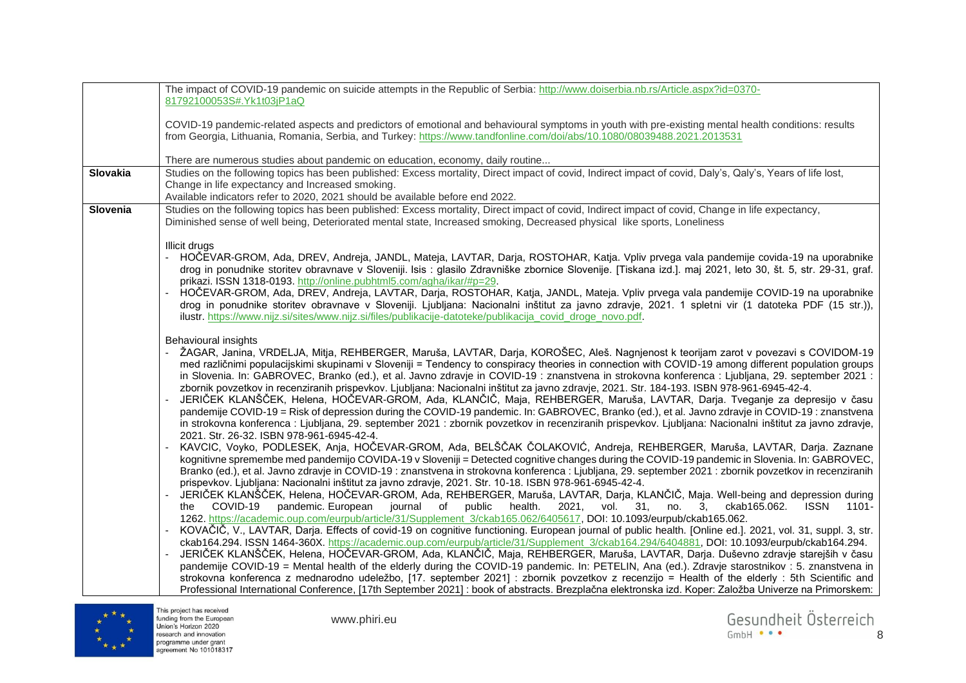| 81792100053S#.Yk1t03jP1aQ<br>COVID-19 pandemic-related aspects and predictors of emotional and behavioural symptoms in youth with pre-existing mental health conditions: results<br>from Georgia, Lithuania, Romania, Serbia, and Turkey: https://www.tandfonline.com/doi/abs/10.1080/08039488.2021.2013531<br>There are numerous studies about pandemic on education, economy, daily routine<br>Studies on the following topics has been published: Excess mortality, Direct impact of covid, Indirect impact of covid, Daly's, Qaly's, Years of life lost,<br><b>Slovakia</b><br>Change in life expectancy and Increased smoking.<br>Available indicators refer to 2020, 2021 should be available before end 2022. |
|----------------------------------------------------------------------------------------------------------------------------------------------------------------------------------------------------------------------------------------------------------------------------------------------------------------------------------------------------------------------------------------------------------------------------------------------------------------------------------------------------------------------------------------------------------------------------------------------------------------------------------------------------------------------------------------------------------------------|
|                                                                                                                                                                                                                                                                                                                                                                                                                                                                                                                                                                                                                                                                                                                      |
|                                                                                                                                                                                                                                                                                                                                                                                                                                                                                                                                                                                                                                                                                                                      |
|                                                                                                                                                                                                                                                                                                                                                                                                                                                                                                                                                                                                                                                                                                                      |
|                                                                                                                                                                                                                                                                                                                                                                                                                                                                                                                                                                                                                                                                                                                      |
|                                                                                                                                                                                                                                                                                                                                                                                                                                                                                                                                                                                                                                                                                                                      |
|                                                                                                                                                                                                                                                                                                                                                                                                                                                                                                                                                                                                                                                                                                                      |
| Studies on the following topics has been published: Excess mortality, Direct impact of covid, Indirect impact of covid, Change in life expectancy,<br>Slovenia<br>Diminished sense of well being, Deteriorated mental state, Increased smoking, Decreased physical like sports, Loneliness                                                                                                                                                                                                                                                                                                                                                                                                                           |
| Illicit drugs                                                                                                                                                                                                                                                                                                                                                                                                                                                                                                                                                                                                                                                                                                        |
| - HOČEVAR-GROM, Ada, DREV, Andreja, JANDL, Mateja, LAVTAR, Darja, ROSTOHAR, Katja. Vpliv prvega vala pandemije covida-19 na uporabnike                                                                                                                                                                                                                                                                                                                                                                                                                                                                                                                                                                               |
| drog in ponudnike storitev obravnave v Sloveniji. Isis : glasilo Zdravniške zbornice Slovenije. [Tiskana izd.]. maj 2021, leto 30, št. 5, str. 29-31, graf.                                                                                                                                                                                                                                                                                                                                                                                                                                                                                                                                                          |
| prikazi. ISSN 1318-0193. http://online.pubhtml5.com/agha/ikar/#p=29.<br>- HOČEVAR-GROM, Ada, DREV, Andreja, LAVTAR, Darja, ROSTOHAR, Katja, JANDL, Mateja. Vpliv prvega vala pandemije COVID-19 na uporabnike                                                                                                                                                                                                                                                                                                                                                                                                                                                                                                        |
| drog in ponudnike storitev obravnave v Sloveniji. Ljubljana: Nacionalni inštitut za javno zdravje, 2021. 1 spletni vir (1 datoteka PDF (15 str.)),                                                                                                                                                                                                                                                                                                                                                                                                                                                                                                                                                                   |
| ilustr. https://www.nijz.si/sites/www.nijz.si/files/publikacije-datoteke/publikacija_covid_droge_novo.pdf.                                                                                                                                                                                                                                                                                                                                                                                                                                                                                                                                                                                                           |
|                                                                                                                                                                                                                                                                                                                                                                                                                                                                                                                                                                                                                                                                                                                      |
| <b>Behavioural insights</b><br>- ŽAGAR, Janina, VRDELJA, Mitja, REHBERGER, Maruša, LAVTAR, Darja, KOROŠEC, Aleš. Nagnjenost k teorijam zarot v povezavi s COVIDOM-19                                                                                                                                                                                                                                                                                                                                                                                                                                                                                                                                                 |
| med različnimi populacijskimi skupinami v Sloveniji = Tendency to conspiracy theories in connection with COVID-19 among different population groups                                                                                                                                                                                                                                                                                                                                                                                                                                                                                                                                                                  |
| in Slovenia. In: GABROVEC, Branko (ed.), et al. Javno zdravje in COVID-19 : znanstvena in strokovna konferenca : Ljubljana, 29. september 2021 :                                                                                                                                                                                                                                                                                                                                                                                                                                                                                                                                                                     |
| zbornik povzetkov in recenziranih prispevkov. Ljubljana: Nacionalni inštitut za javno zdravje, 2021. Str. 184-193. ISBN 978-961-6945-42-4.<br>JERIČEK KLANŠČEK, Helena, HOČEVAR-GROM, Ada, KLANČIČ, Maja, REHBERGER, Maruša, LAVTAR, Darja. Tveganje za depresijo v času                                                                                                                                                                                                                                                                                                                                                                                                                                             |
| pandemije COVID-19 = Risk of depression during the COVID-19 pandemic. In: GABROVEC, Branko (ed.), et al. Javno zdravje in COVID-19 : znanstvena                                                                                                                                                                                                                                                                                                                                                                                                                                                                                                                                                                      |
| in strokovna konferenca : Ljubljana, 29. september 2021 : zbornik povzetkov in recenziranih prispevkov. Ljubljana: Nacionalni inštitut za javno zdravje,                                                                                                                                                                                                                                                                                                                                                                                                                                                                                                                                                             |
| 2021. Str. 26-32. ISBN 978-961-6945-42-4.<br>KAVCIC, Voyko, PODLESEK, Anja, HOČEVAR-GROM, Ada, BELŠČAK ČOLAKOVIĆ, Andreja, REHBERGER, Maruša, LAVTAR, Darja. Zaznane                                                                                                                                                                                                                                                                                                                                                                                                                                                                                                                                                 |
| kognitivne spremembe med pandemijo COVIDA-19 v Sloveniji = Detected cognitive changes during the COVID-19 pandemic in Slovenia. In: GABROVEC,                                                                                                                                                                                                                                                                                                                                                                                                                                                                                                                                                                        |
| Branko (ed.), et al. Javno zdravje in COVID-19 : znanstvena in strokovna konferenca : Ljubljana, 29. september 2021 : zbornik povzetkov in recenziranih                                                                                                                                                                                                                                                                                                                                                                                                                                                                                                                                                              |
| prispevkov. Ljubljana: Nacionalni inštitut za javno zdravje, 2021. Str. 10-18. ISBN 978-961-6945-42-4.                                                                                                                                                                                                                                                                                                                                                                                                                                                                                                                                                                                                               |
| JERIČEK KLANŠČEK, Helena, HOČEVAR-GROM, Ada, REHBERGER, Maruša, LAVTAR, Darja, KLANČIČ, Maja. Well-being and depression during<br>COVID-19<br>pandemic. European journal of public health. 2021, vol. 31, no. 3, ckab165.062.<br><b>ISSN</b> 1101-<br>the                                                                                                                                                                                                                                                                                                                                                                                                                                                            |
| 1262. https://academic.oup.com/eurpub/article/31/Supplement 3/ckab165.062/6405617, DOI: 10.1093/eurpub/ckab165.062.                                                                                                                                                                                                                                                                                                                                                                                                                                                                                                                                                                                                  |
| - KOVAČIČ, V., LAVTAR, Darja. Effects of covid-19 on cognitive functioning. European journal of public health. [Online ed.]. 2021, vol. 31, suppl. 3, str.                                                                                                                                                                                                                                                                                                                                                                                                                                                                                                                                                           |
| ckab164.294. ISSN 1464-360X. https://academic.oup.com/eurpub/article/31/Supplement 3/ckab164.294/6404881, DOI: 10.1093/eurpub/ckab164.294.                                                                                                                                                                                                                                                                                                                                                                                                                                                                                                                                                                           |
| JERIČEK KLANŠČEK, Helena, HOČEVAR-GROM, Ada, KLANČIČ, Maja, REHBERGER, Maruša, LAVTAR, Darja. Duševno zdravje starejših v času<br>pandemije COVID-19 = Mental health of the elderly during the COVID-19 pandemic. In: PETELIN, Ana (ed.). Zdravje starostnikov : 5. znanstvena in                                                                                                                                                                                                                                                                                                                                                                                                                                    |
| strokovna konferenca z mednarodno udeležbo, [17. september 2021] : zbornik povzetkov z recenzijo = Health of the elderly : 5th Scientific and                                                                                                                                                                                                                                                                                                                                                                                                                                                                                                                                                                        |
| Professional International Conference, [17th September 2021] : book of abstracts. Brezplačna elektronska izd. Koper: Založba Univerze na Primorskem:                                                                                                                                                                                                                                                                                                                                                                                                                                                                                                                                                                 |

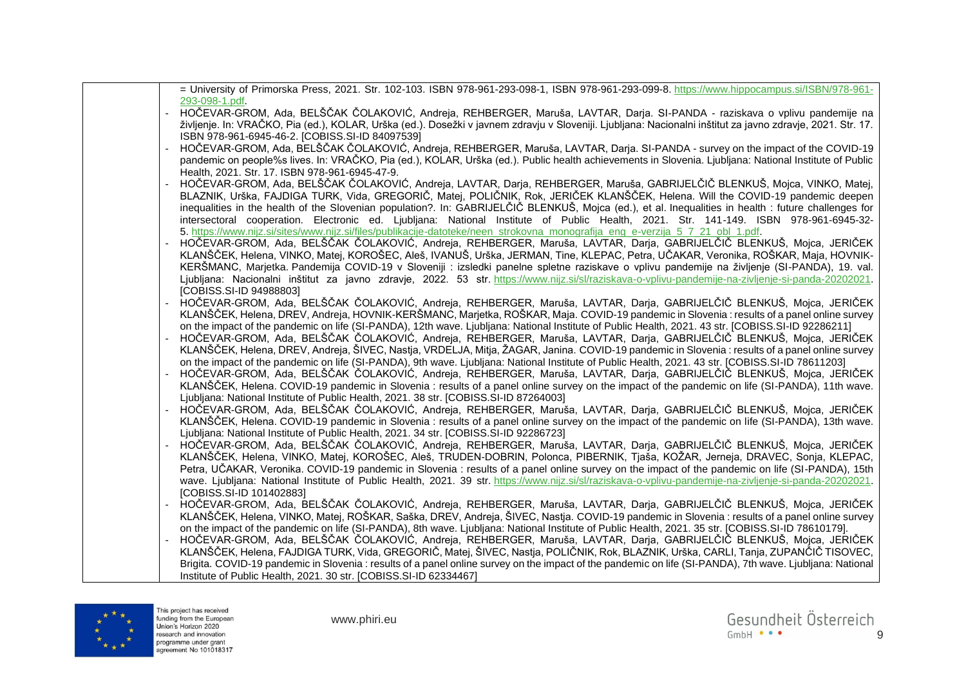|  | = University of Primorska Press, 2021. Str. 102-103. ISBN 978-961-293-098-1, ISBN 978-961-293-099-8. https://www.hippocampus.si/ISBN/978-961-                                                                 |
|--|---------------------------------------------------------------------------------------------------------------------------------------------------------------------------------------------------------------|
|  | 293-098-1.pdf.<br>HOČEVAR-GROM, Ada, BELŠČAK ČOLAKOVIĆ, Andreja, REHBERGER, Maruša, LAVTAR, Darja. SI-PANDA - raziskava o vplivu pandemije na                                                                 |
|  | življenje. In: VRAČKO, Pia (ed.), KOLAR, Urška (ed.). Dosežki v javnem zdravju v Sloveniji. Ljubljana: Nacionalni inštitut za javno zdravje, 2021. Str. 17.                                                   |
|  | ISBN 978-961-6945-46-2. [COBISS.SI-ID 84097539]                                                                                                                                                               |
|  | HOČEVAR-GROM, Ada, BELŠČAK ČOLAKOVIĆ, Andreja, REHBERGER, Maruša, LAVTAR, Darja. SI-PANDA - survey on the impact of the COVID-19                                                                              |
|  | pandemic on people%s lives. In: VRAČKO, Pia (ed.), KOLAR, Urška (ed.). Public health achievements in Slovenia. Ljubljana: National Institute of Public                                                        |
|  | Health, 2021. Str. 17. ISBN 978-961-6945-47-9.                                                                                                                                                                |
|  | HOČEVAR-GROM, Ada, BELŠČAK ČOLAKOVIĆ, Andreja, LAVTAR, Darja, REHBERGER, Maruša, GABRIJELČIČ BLENKUŠ, Mojca, VINKO, Matej,                                                                                    |
|  | BLAZNIK, Urška, FAJDIGA TURK, Vida, GREGORIČ, Matej, POLIČNIK, Rok, JERIČEK KLANŠČEK, Helena. Will the COVID-19 pandemic deepen                                                                               |
|  | inequalities in the health of the Slovenian population?. In: GABRIJELČIČ BLENKUŠ, Mojca (ed.), et al. Inequalities in health : future challenges for                                                          |
|  | intersectoral cooperation. Electronic ed. Ljubljana: National Institute of Public Health, 2021. Str. 141-149. ISBN 978-961-6945-32-                                                                           |
|  | 5. https://www.nijz.si/sites/www.nijz.si/files/publikacije-datoteke/neen_strokovna_monografija_eng_e-verzija_5_7_21_obl_1.pdf.                                                                                |
|  | HOČEVAR-GROM, Ada, BELŠČAK ČOLAKOVIĆ, Andreja, REHBERGER, Maruša, LAVTAR, Darja, GABRIJELČIČ BLENKUŠ, Mojca, JERIČEK                                                                                          |
|  | KLANŠČEK, Helena, VINKO, Matej, KOROŠEC, Aleš, IVANUŠ, Urška, JERMAN, Tine, KLEPAC, Petra, UČAKAR, Veronika, ROŠKAR, Maja, HOVNIK-                                                                            |
|  | KERŠMANC, Marjetka. Pandemija COVID-19 v Sloveniji : izsledki panelne spletne raziskave o vplivu pandemije na življenje (SI-PANDA), 19. val.                                                                  |
|  | Ljubljana: Nacionalni inštitut za javno zdravje, 2022. 53 str. https://www.nijz.si/sl/raziskava-o-vplivu-pandemije-na-zivljenje-si-panda-20202021.<br>[COBISS.SI-ID 94988803]                                 |
|  | HOČEVAR-GROM, Ada, BELŠČAK ČOLAKOVIĆ, Andreja, REHBERGER, Maruša, LAVTAR, Darja, GABRIJELČIČ BLENKUŠ, Mojca, JERIČEK                                                                                          |
|  | KLANŠČEK, Helena, DREV, Andreja, HOVNIK-KERŠMANC, Marjetka, ROŠKAR, Maja. COVID-19 pandemic in Slovenia : results of a panel online survey                                                                    |
|  | on the impact of the pandemic on life (SI-PANDA), 12th wave. Ljubljana: National Institute of Public Health, 2021. 43 str. [COBISS.SI-ID 92286211]                                                            |
|  | HOČEVAR-GROM, Ada, BELŠČAK ČOLAKOVIĆ, Andreja, REHBERGER, Maruša, LAVTAR, Darja, GABRIJELČIČ BLENKUŠ, Mojca, JERIČEK                                                                                          |
|  | KLANŠČEK, Helena, DREV, Andreja, ŠIVEC, Nastja, VRDELJA, Mitja, ŽAGAR, Janina. COVID-19 pandemic in Slovenia : results of a panel online survey                                                               |
|  | on the impact of the pandemic on life (SI-PANDA), 9th wave. Ljubljana: National Institute of Public Health, 2021. 43 str. [COBISS.SI-ID 78611203]                                                             |
|  | HOČEVAR-GROM, Ada, BELŠČAK ČOLAKOVIĆ, Andreja, REHBERGER, Maruša, LAVTAR, Darja, GABRIJELČIČ BLENKUŠ, Mojca, JERIČEK                                                                                          |
|  | KLANŠČEK, Helena. COVID-19 pandemic in Slovenia : results of a panel online survey on the impact of the pandemic on life (SI-PANDA), 11th wave.                                                               |
|  | Ljubljana: National Institute of Public Health, 2021. 38 str. [COBISS.SI-ID 87264003]                                                                                                                         |
|  | HOČEVAR-GROM, Ada, BELŠČAK ČOLAKOVIĆ, Andreja, REHBERGER, Maruša, LAVTAR, Darja, GABRIJELČIČ BLENKUŠ, Mojca, JERIČEK                                                                                          |
|  | KLANŠČEK, Helena. COVID-19 pandemic in Slovenia : results of a panel online survey on the impact of the pandemic on life (SI-PANDA), 13th wave.                                                               |
|  | Ljubljana: National Institute of Public Health, 2021. 34 str. [COBISS.SI-ID 92286723]<br>HOČEVAR-GROM, Ada, BELŠČAK ČOLAKOVIĆ, Andreja, REHBERGER, Maruša, LAVTAR, Darja, GABRIJELČIČ BLENKUŠ, Mojca, JERIČEK |
|  | KLANŠČEK, Helena, VINKO, Matej, KOROŠEC, Aleš, TRUDEN-DOBRIN, Polonca, PIBERNIK, Tjaša, KOŽAR, Jerneja, DRAVEC, Sonja, KLEPAC,                                                                                |
|  | Petra, UČAKAR, Veronika. COVID-19 pandemic in Slovenia: results of a panel online survey on the impact of the pandemic on life (SI-PANDA), 15th                                                               |
|  | wave. Ljubljana: National Institute of Public Health, 2021. 39 str. https://www.nijz.si/sl/raziskava-o-vplivu-pandemije-na-zivljenje-si-panda-20202021.                                                       |
|  | [COBISS.SI-ID 101402883]                                                                                                                                                                                      |
|  | HOČEVAR-GROM, Ada, BELŠČAK ČOLAKOVIĆ, Andreja, REHBERGER, Maruša, LAVTAR, Darja, GABRIJELČIČ BLENKUŠ, Mojca, JERIČEK                                                                                          |
|  | KLANŠČEK, Helena, VINKO, Matej, ROŠKAR, Saška, DREV, Andreja, ŠIVEC, Nastja. COVID-19 pandemic in Slovenia : results of a panel online survey                                                                 |
|  | on the impact of the pandemic on life (SI-PANDA), 8th wave. Ljubljana: National Institute of Public Health, 2021. 35 str. [COBISS.SI-ID 78610179].                                                            |
|  | HOČEVAR-GROM, Ada, BELŠČAK ČOLAKOVIĆ, Andreja, REHBERGER, Maruša, LAVTAR, Darja, GABRIJELČIČ BLENKUŠ, Mojca, JERIČEK                                                                                          |
|  | KLANŠČEK, Helena, FAJDIGA TURK, Vida, GREGORIČ, Matej, ŠIVEC, Nastja, POLIČNIK, Rok, BLAZNIK, Urška, CARLI, Tanja, ZUPANČIČ TISOVEC,                                                                          |
|  | Brigita. COVID-19 pandemic in Slovenia : results of a panel online survey on the impact of the pandemic on life (SI-PANDA), 7th wave. Ljubljana: National                                                     |
|  | Institute of Public Health, 2021. 30 str. [COBISS.SI-ID 62334467]                                                                                                                                             |

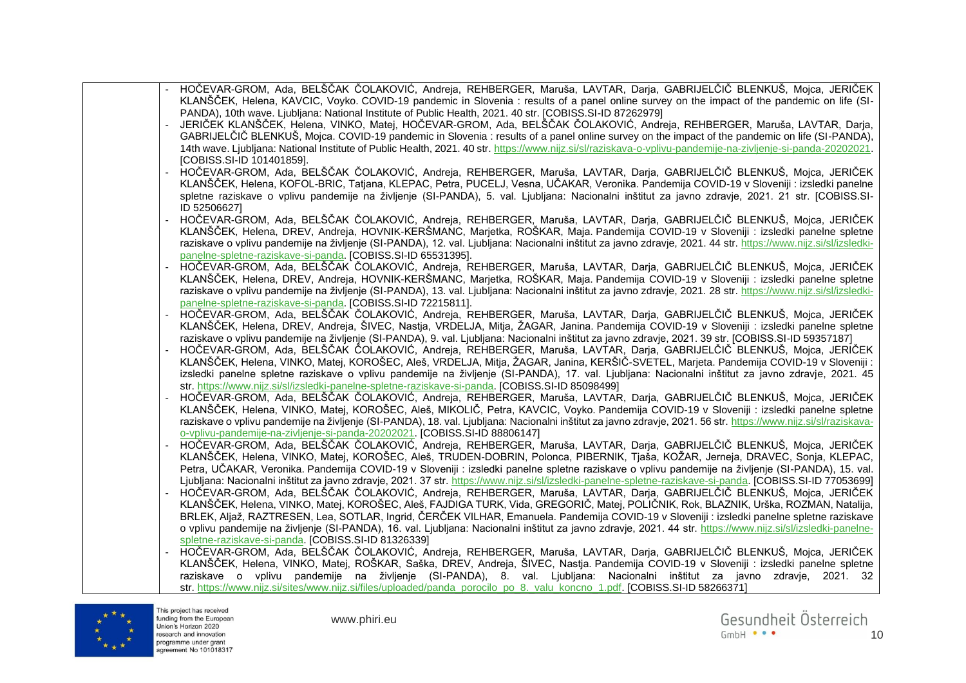| HOČEVAR-GROM, Ada, BELŠČAK ČOLAKOVIĆ, Andreja, REHBERGER, Maruša, LAVTAR, Darja, GABRIJELČIČ BLENKUŠ, Mojca, JERIČEK                                            |
|-----------------------------------------------------------------------------------------------------------------------------------------------------------------|
| KLANŠČEK, Helena, KAVCIC, Voyko. COVID-19 pandemic in Slovenia : results of a panel online survey on the impact of the pandemic on life (SI-                    |
| PANDA), 10th wave. Ljubljana: National Institute of Public Health, 2021. 40 str. [COBISS.SI-ID 87262979]                                                        |
| JERIČEK KLANŠČEK, Helena, VINKO, Matej, HOČEVAR-GROM, Ada, BELŠČAK ČOLAKOVIĆ, Andreja, REHBERGER, Maruša, LAVTAR, Darja,                                        |
| GABRIJELČIČ BLENKUŠ, Mojca. COVID-19 pandemic in Slovenia: results of a panel online survey on the impact of the pandemic on life (SI-PANDA),                   |
| 14th wave. Ljubljana: National Institute of Public Health, 2021. 40 str. https://www.nijz.si/sl/raziskava-o-vplivu-pandemije-na-zivljenje-si-panda-20202021.    |
| [COBISS.SI-ID 101401859].                                                                                                                                       |
| HOČEVAR-GROM, Ada, BELŠČAK ČOLAKOVIĆ, Andreja, REHBERGER, Maruša, LAVTAR, Darja, GABRIJELČIČ BLENKUŠ, Mojca, JERIČEK                                            |
|                                                                                                                                                                 |
| KLANŠČEK, Helena, KOFOL-BRIC, Tatjana, KLEPAC, Petra, PUCELJ, Vesna, UČAKAR, Veronika. Pandemija COVID-19 v Sloveniji : izsledki panelne                        |
| spletne raziskave o vplivu pandemije na življenje (SI-PANDA), 5. val. Ljubljana: Nacionalni inštitut za javno zdravje, 2021. 21 str. [COBISS.SI-                |
| ID 52506627]                                                                                                                                                    |
| HOČEVAR-GROM, Ada, BELŠČAK ČOLAKOVIĆ, Andreja, REHBERGER, Maruša, LAVTAR, Darja, GABRIJELČIČ BLENKUŠ, Mojca, JERIČEK                                            |
| KLANŠČEK, Helena, DREV, Andreja, HOVNIK-KERŠMANC, Marjetka, ROŠKAR, Maja. Pandemija COVID-19 v Sloveniji : izsledki panelne spletne                             |
| raziskave o vplivu pandemije na življenje (SI-PANDA), 12. val. Ljubljana: Nacionalni inštitut za javno zdravje, 2021. 44 str. https://www.nijz.si/sl/izsledki-  |
| panelne-spletne-raziskave-si-panda. [COBISS.SI-ID 65531395].                                                                                                    |
| HOČEVAR-GROM, Ada, BELŠČAK ČOLAKOVIĆ, Andreja, REHBERGER, Maruša, LAVTAR, Darja, GABRIJELČIČ BLENKUŠ, Mojca, JERIČEK                                            |
| KLANŠČEK, Helena, DREV, Andreja, HOVNIK-KERŠMANC, Marjetka, ROŠKAR, Maja. Pandemija COVID-19 v Sloveniji : izsledki panelne spletne                             |
|                                                                                                                                                                 |
| raziskave o vplivu pandemije na življenje (SI-PANDA), 13. val. Ljubljana: Nacionalni inštitut za javno zdravje, 2021. 28 str. https://www.nijz.si/sl/izsledki-  |
| panelne-spletne-raziskave-si-panda. [COBISS.SI-ID 72215811].                                                                                                    |
| HOČEVAR-GROM, Ada, BELŠČAK ČOLAKOVIĆ, Andreja, REHBERGER, Maruša, LAVTAR, Darja, GABRIJELČIČ BLENKUŠ, Mojca, JERIČEK                                            |
| KLANŠČEK, Helena, DREV, Andreja, ŠIVEC, Nastja, VRDELJA, Mitja, ŽAGAR, Janina. Pandemija COVID-19 v Sloveniji : izsledki panelne spletne                        |
| raziskave o vplivu pandemije na življenje (SI-PANDA), 9. val. Ljubljana: Nacionalni inštitut za javno zdravje, 2021. 39 str. [COBISS.SI-ID 59357187]            |
| HOČEVAR-GROM, Ada, BELŠČAK ČOLAKOVIĆ, Andreja, REHBERGER, Maruša, LAVTAR, Darja, GABRIJELČIČ BLENKUŠ, Mojca, JERIČEK                                            |
| KLANŠČEK, Helena, VINKO, Matej, KOROŠEC, Aleš, VRDELJA, Mitja, ŽAGAR, Janina, KERŠIČ-SVETEL, Marjeta. Pandemija COVID-19 v Sloveniji :                          |
| izsledki panelne spletne raziskave o vplivu pandemije na življenje (SI-PANDA), 17. val. Ljubljana: Nacionalni inštitut za javno zdravje, 2021. 45               |
| str. https://www.nijz.si/sl/izsledki-panelne-spletne-raziskave-si-panda. [COBISS.SI-ID 85098499]                                                                |
| HOČEVAR-GROM, Ada, BELŠČAK ČOLAKOVIĆ, Andreja, REHBERGER, Maruša, LAVTAR, Darja, GABRIJELČIČ BLENKUŠ, Mojca, JERIČEK                                            |
| KLANŠČEK, Helena, VINKO, Matej, KOROŠEC, Aleš, MIKOLIČ, Petra, KAVCIC, Voyko. Pandemija COVID-19 v Sloveniji : izsledki panelne spletne                         |
|                                                                                                                                                                 |
| raziskave o vplivu pandemije na življenje (SI-PANDA), 18. val. Ljubljana: Nacionalni inštitut za javno zdravje, 2021. 56 str. https://www.nijz.si/sl/raziskava- |
| o-vplivu-pandemije-na-zivljenje-si-panda-20202021. [COBISS.SI-ID 88806147]                                                                                      |
| HOČEVAR-GROM, Ada, BELŠČAK ČOLAKOVIĆ, Andreja, REHBERGER, Maruša, LAVTAR, Darja, GABRIJELČIČ BLENKUŠ, Mojca, JERIČEK                                            |
| KLANŠČEK, Helena, VINKO, Matej, KOROŠEC, Aleš, TRUDEN-DOBRIN, Polonca, PIBERNIK, Tjaša, KOŽAR, Jerneja, DRAVEC, Sonja, KLEPAC,                                  |
| Petra, UČAKAR, Veronika. Pandemija COVID-19 v Sloveniji : izsledki panelne spletne raziskave o vplivu pandemije na življenje (SI-PANDA), 15. val.               |
| Ljubljana: Nacionalni inštitut za javno zdravje, 2021. 37 str. https://www.nijz.si/sl/izsledki-panelne-spletne-raziskave-si-panda. [COBISS.SI-ID 77053699]      |
| HOČEVAR-GROM, Ada, BELŠČAK ČOLAKOVIĆ, Andreja, REHBERGER, Maruša, LAVTAR, Darja, GABRIJELČIČ BLENKUŠ, Mojca, JERIČEK                                            |
| KLANŠČEK, Helena, VINKO, Matej, KOROŠEC, Aleš, FAJDIGA TURK, Vida, GREGORIČ, Matej, POLIČNIK, Rok, BLAZNIK, Urška, ROZMAN, Natalija,                            |
| BRLEK, Aljaž, RAZTRESEN, Lea, SOTLAR, Ingrid, ČERČEK VILHAR, Emanuela. Pandemija COVID-19 v Sloveniji : izsledki panelne spletne raziskave                      |
| o vplivu pandemije na življenje (SI-PANDA), 16. val. Ljubljana: Nacionalni inštitut za javno zdravje, 2021. 44 str. https://www.nijz.si/sl/izsledki-panelne-    |
|                                                                                                                                                                 |
| spletne-raziskave-si-panda. [COBISS.SI-ID 81326339]                                                                                                             |
| HOČEVAR-GROM, Ada, BELŠČAK ČOLAKOVIĆ, Andreja, REHBERGER, Maruša, LAVTAR, Darja, GABRIJELČIČ BLENKUŠ, Mojca, JERIČEK                                            |
| KLANŠČEK, Helena, VINKO, Matej, ROŠKAR, Saška, DREV, Andreja, ŠIVEC, Nastja. Pandemija COVID-19 v Sloveniji : izsledki panelne spletne                          |
| raziskave o vplivu pandemije na življenje (SI-PANDA), 8. val. Ljubljana: Nacionalni inštitut za javno zdravje, 2021. 32                                         |
| str. https://www.nijz.si/sites/www.nijz.si/files/uploaded/panda_porocilo_po_8._valu_koncno_1.pdf. [COBISS.SI-ID 58266371]                                       |



This project has received<br>funding from the European<br>Union's Horizon 2020<br>research and innovation<br>programme under grant<br>agreement No 101018317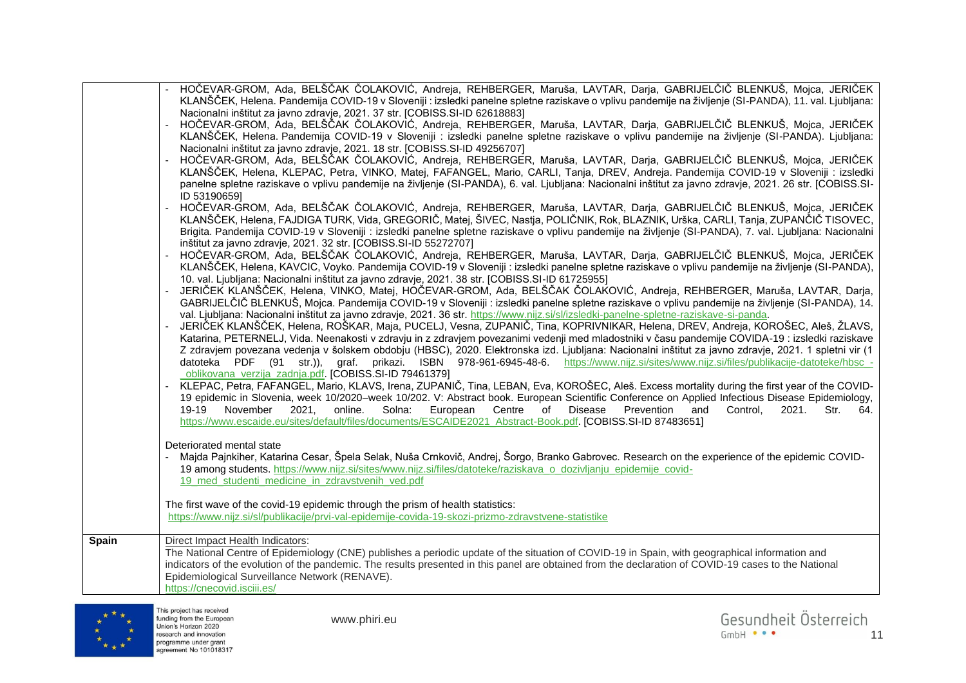|              | HOČEVAR-GROM, Ada, BELŠČAK ČOLAKOVIĆ, Andreja, REHBERGER, Maruša, LAVTAR, Darja, GABRIJELČIČ BLENKUŠ, Mojca, JERIČEK                                                                                                                                                       |
|--------------|----------------------------------------------------------------------------------------------------------------------------------------------------------------------------------------------------------------------------------------------------------------------------|
|              | KLANŠČEK, Helena. Pandemija COVID-19 v Sloveniji : izsledki panelne spletne raziskave o vplivu pandemije na življenje (SI-PANDA), 11. val. Ljubljana:                                                                                                                      |
|              | Nacionalni inštitut za javno zdravje, 2021. 37 str. [COBISS.SI-ID 62618883]                                                                                                                                                                                                |
|              | HOČEVAR-GROM, Ada, BELŠČAK ČOLAKOVIĆ, Andreja, REHBERGER, Maruša, LAVTAR, Darja, GABRIJELČIČ BLENKUŠ, Mojca, JERIČEK<br>KLANŠČEK, Helena. Pandemija COVID-19 v Sloveniji : izsledki panelne spletne raziskave o vplivu pandemije na življenje (SI-PANDA). Ljubljana:       |
|              | Nacionalni inštitut za javno zdravje, 2021. 18 str. [COBISS.SI-ID 49256707]                                                                                                                                                                                                |
|              | HOČEVAR-GROM, Ada, BELŠČAK ČOLAKOVIĆ, Andreja, REHBERGER, Maruša, LAVTAR, Darja, GABRIJELČIČ BLENKUŠ, Mojca, JERIČEK                                                                                                                                                       |
|              | KLANŠČEK, Helena, KLEPAC, Petra, VINKO, Matej, FAFANGEL, Mario, CARLI, Tanja, DREV, Andreja. Pandemija COVID-19 v Sloveniji : izsledki                                                                                                                                     |
|              | panelne spletne raziskave o vplivu pandemije na življenje (SI-PANDA), 6. val. Ljubljana: Nacionalni inštitut za javno zdravje, 2021. 26 str. [COBISS.SI-                                                                                                                   |
|              | ID 531906591                                                                                                                                                                                                                                                               |
|              | HOČEVAR-GROM, Ada, BELŠČAK ČOLAKOVIĆ, Andreja, REHBERGER, Maruša, LAVTAR, Darja, GABRIJELČIČ BLENKUŠ, Mojca, JERIČEK                                                                                                                                                       |
|              | KLANŠČEK, Helena, FAJDIGA TURK, Vida, GREGORIČ, Matej, ŠIVEC, Nastja, POLIČNIK, Rok, BLAZNIK, Urška, CARLI, Tanja, ZUPANČIČ TISOVEC,                                                                                                                                       |
|              | Brigita. Pandemija COVID-19 v Sloveniji : izsledki panelne spletne raziskave o vplivu pandemije na življenje (SI-PANDA), 7. val. Ljubljana: Nacionalni                                                                                                                     |
|              | inštitut za javno zdravje, 2021. 32 str. [COBISS.SI-ID 55272707]                                                                                                                                                                                                           |
|              | HOČEVAR-GROM, Ada, BELŠČAK ČOLAKOVIĆ, Andreja, REHBERGER, Maruša, LAVTAR, Darja, GABRIJELČIČ BLENKUŠ, Mojca, JERIČEK                                                                                                                                                       |
|              | KLANŠČEK, Helena, KAVCIC, Voyko. Pandemija COVID-19 v Sloveniji : izsledki panelne spletne raziskave o vplivu pandemije na življenje (SI-PANDA),                                                                                                                           |
|              | 10. val. Ljubljana: Nacionalni inštitut za javno zdravje, 2021. 38 str. [COBISS.SI-ID 61725955]                                                                                                                                                                            |
|              | JERIČEK KLANŠČEK, Helena, VINKO, Matej, HOČEVAR-GROM, Ada, BELŠČAK ČOLAKOVIĆ, Andreja, REHBERGER, Maruša, LAVTAR, Darja,                                                                                                                                                   |
|              | GABRIJELČIČ BLENKUŠ, Mojca. Pandemija COVID-19 v Sloveniji : izsledki panelne spletne raziskave o vplivu pandemije na življenje (SI-PANDA), 14.                                                                                                                            |
|              | val. Ljubljana: Nacionalni inštitut za javno zdravje, 2021. 36 str. https://www.nijz.si/sl/izsledki-panelne-spletne-raziskave-si-panda.<br>JERIČEK KLANŠČEK, Helena, ROŠKAR, Maja, PUCELJ, Vesna, ZUPANIČ, Tina, KOPRIVNIKAR, Helena, DREV, Andreja, KOROŠEC, Aleš, ŽLAVS, |
|              | Katarina, PETERNELJ, Vida. Neenakosti v zdravju in z zdravjem povezanimi vedenji med mladostniki v času pandemije COVIDA-19 : izsledki raziskave                                                                                                                           |
|              | Z zdravjem povezana vedenja v šolskem obdobju (HBSC), 2020. Elektronska izd. Ljubljana: Nacionalni inštitut za javno zdravje, 2021. 1 spletni vir (1                                                                                                                       |
|              | datoteka PDF (91 str.)), graf. prikazi. ISBN 978-961-6945-48-6. https://www.nijz.si/sites/www.nijz.si/files/publikacije-datoteke/hbsc -                                                                                                                                    |
|              | oblikovana verzija zadnja.pdf. [COBISS.SI-ID 79461379]                                                                                                                                                                                                                     |
|              | KLEPAC, Petra, FAFANGEL, Mario, KLAVS, Irena, ZUPANIČ, Tina, LEBAN, Eva, KOROŠEC, Aleš. Excess mortality during the first year of the COVID-                                                                                                                               |
|              | 19 epidemic in Slovenia, week 10/2020–week 10/202. V: Abstract book. European Scientific Conference on Applied Infectious Disease Epidemiology,                                                                                                                            |
|              | November<br>online.<br>Solna:<br>European<br>Centre<br>Disease<br>Prevention<br>and<br>Control.<br>19-19<br>2021.<br>of<br>2021.<br>Str.<br>64.                                                                                                                            |
|              | https://www.escaide.eu/sites/default/files/documents/ESCAIDE2021_Abstract-Book.pdf. [COBISS.SI-ID 87483651]                                                                                                                                                                |
|              |                                                                                                                                                                                                                                                                            |
|              | Deteriorated mental state                                                                                                                                                                                                                                                  |
|              | Majda Pajnkiher, Katarina Cesar, Špela Selak, Nuša Crnkovič, Andrej, Šorgo, Branko Gabrovec. Research on the experience of the epidemic COVID-                                                                                                                             |
|              | 19 among students. https://www.nijz.si/sites/www.nijz.si/files/datoteke/raziskava_o_dozivljanju_epidemije_covid-                                                                                                                                                           |
|              | 19 med studenti medicine in zdravstvenih ved.pdf                                                                                                                                                                                                                           |
|              | The first wave of the covid-19 epidemic through the prism of health statistics:                                                                                                                                                                                            |
|              | https://www.nijz.si/sl/publikacije/prvi-val-epidemije-covida-19-skozi-prizmo-zdravstvene-statistike                                                                                                                                                                        |
|              |                                                                                                                                                                                                                                                                            |
| <b>Spain</b> | Direct Impact Health Indicators:                                                                                                                                                                                                                                           |
|              | The National Centre of Epidemiology (CNE) publishes a periodic update of the situation of COVID-19 in Spain, with geographical information and                                                                                                                             |
|              | indicators of the evolution of the pandemic. The results presented in this panel are obtained from the declaration of COVID-19 cases to the National                                                                                                                       |
|              | Epidemiological Surveillance Network (RENAVE).                                                                                                                                                                                                                             |
|              | https://cnecovid.isciii.es/                                                                                                                                                                                                                                                |

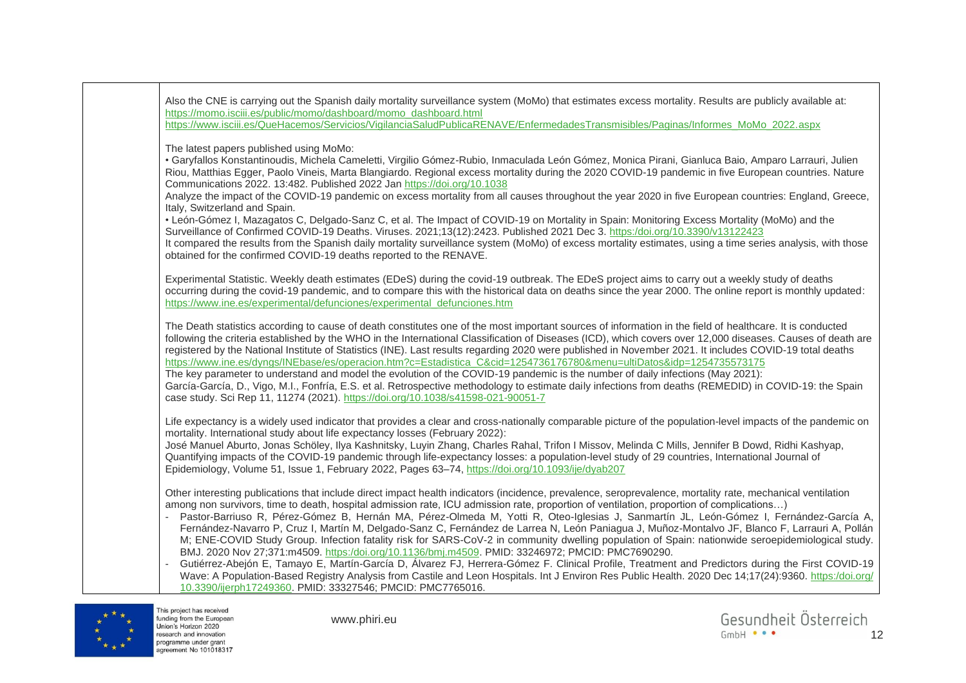



This project has received funding from the European Union's Horizon 2020 research and innovation programme under grant agreement No 101018317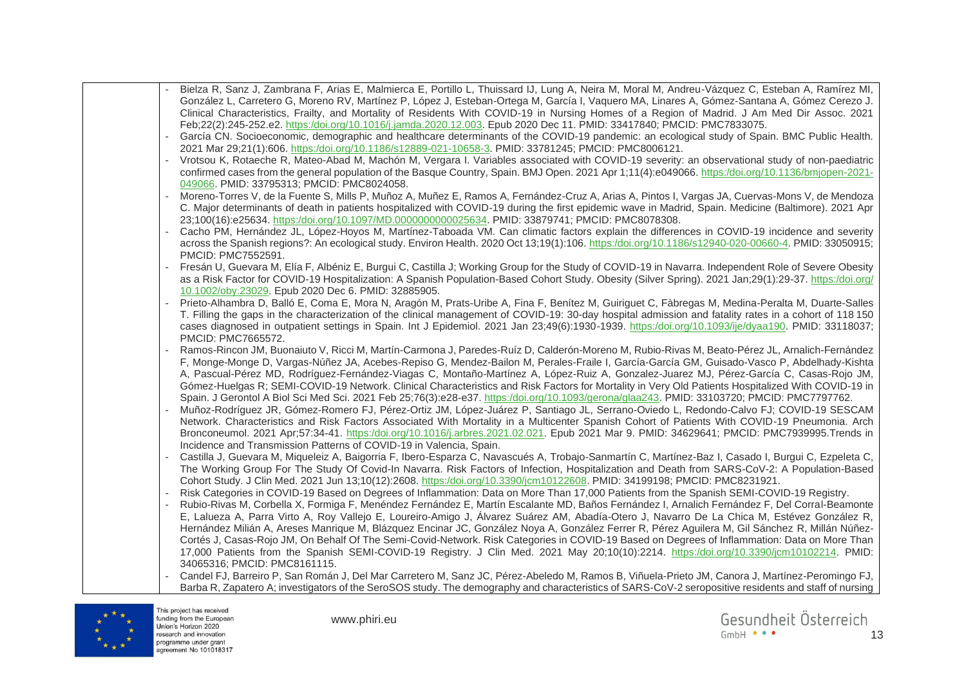| Bielza R, Sanz J, Zambrana F, Arias E, Malmierca E, Portillo L, Thuissard IJ, Lung A, Neira M, Moral M, Andreu-Vázquez C, Esteban A, Ramírez MI,<br>González L, Carretero G, Moreno RV, Martínez P, López J, Esteban-Ortega M, García I, Vaquero MA, Linares A, Gómez-Santana A, Gómez Cerezo J.<br>Clinical Characteristics, Frailty, and Mortality of Residents With COVID-19 in Nursing Homes of a Region of Madrid. J Am Med Dir Assoc. 2021<br>Feb;22(2):245-252.e2. https:/doi.org/10.1016/j.jamda.2020.12.003. Epub 2020 Dec 11. PMID: 33417840; PMCID: PMC7833075. |
|----------------------------------------------------------------------------------------------------------------------------------------------------------------------------------------------------------------------------------------------------------------------------------------------------------------------------------------------------------------------------------------------------------------------------------------------------------------------------------------------------------------------------------------------------------------------------|
| García CN. Socioeconomic, demographic and healthcare determinants of the COVID-19 pandemic: an ecological study of Spain. BMC Public Health.<br>2021 Mar 29;21(1):606. https:/doi.org/10.1186/s12889-021-10658-3. PMID: 33781245; PMCID: PMC8006121.                                                                                                                                                                                                                                                                                                                       |
| Vrotsou K, Rotaeche R, Mateo-Abad M, Machón M, Vergara I. Variables associated with COVID-19 severity: an observational study of non-paediatric                                                                                                                                                                                                                                                                                                                                                                                                                            |
| confirmed cases from the general population of the Basque Country, Spain. BMJ Open. 2021 Apr 1;11(4):e049066. https:/doi.org/10.1136/bmjopen-2021-<br>049066. PMID: 33795313; PMCID: PMC8024058.                                                                                                                                                                                                                                                                                                                                                                           |
| Moreno-Torres V, de la Fuente S, Mills P, Muñoz A, Muñez E, Ramos A, Fernández-Cruz A, Arias A, Pintos I, Vargas JA, Cuervas-Mons V, de Mendoza                                                                                                                                                                                                                                                                                                                                                                                                                            |
| C. Major determinants of death in patients hospitalized with COVID-19 during the first epidemic wave in Madrid, Spain. Medicine (Baltimore). 2021 Apr<br>23;100(16):e25634. https:/doi.org/10.1097/MD.0000000000025634. PMID: 33879741; PMCID: PMC8078308.                                                                                                                                                                                                                                                                                                                 |
| Cacho PM, Hernández JL, López-Hoyos M, Martínez-Taboada VM. Can climatic factors explain the differences in COVID-19 incidence and severity                                                                                                                                                                                                                                                                                                                                                                                                                                |
| across the Spanish regions?: An ecological study. Environ Health. 2020 Oct 13;19(1):106. https:/doi.org/10.1186/s12940-020-00660-4. PMID: 33050915;<br>PMCID: PMC7552591.                                                                                                                                                                                                                                                                                                                                                                                                  |
| Fresán U, Guevara M, Elía F, Albéniz E, Burgui C, Castilla J; Working Group for the Study of COVID-19 in Navarra. Independent Role of Severe Obesity                                                                                                                                                                                                                                                                                                                                                                                                                       |
| as a Risk Factor for COVID-19 Hospitalization: A Spanish Population-Based Cohort Study. Obesity (Silver Spring). 2021 Jan;29(1):29-37. https:/doi.org/<br>10.1002/oby.23029. Epub 2020 Dec 6. PMID: 32885905.                                                                                                                                                                                                                                                                                                                                                              |
| Prieto-Alhambra D, Balló E, Coma E, Mora N, Aragón M, Prats-Uribe A, Fina F, Benítez M, Guiriguet C, Fàbregas M, Medina-Peralta M, Duarte-Salles                                                                                                                                                                                                                                                                                                                                                                                                                           |
| T. Filling the gaps in the characterization of the clinical management of COVID-19: 30-day hospital admission and fatality rates in a cohort of 118 150<br>cases diagnosed in outpatient settings in Spain. Int J Epidemiol. 2021 Jan 23;49(6):1930-1939. https:/doi.org/10.1093/ije/dyaa190. PMID: 33118037;<br>PMCID: PMC7665572.                                                                                                                                                                                                                                        |
| Ramos-Rincon JM, Buonaiuto V, Ricci M, Martín-Carmona J, Paredes-Ruíz D, Calderón-Moreno M, Rubio-Rivas M, Beato-Pérez JL, Arnalich-Fernández                                                                                                                                                                                                                                                                                                                                                                                                                              |
| F, Monge-Monge D, Vargas-Núñez JA, Acebes-Repiso G, Mendez-Bailon M, Perales-Fraile I, García-García GM, Guisado-Vasco P, Abdelhady-Kishta<br>A, Pascual-Pérez MD, Rodríguez-Fernández-Viagas C, Montaño-Martínez A, López-Ruiz A, Gonzalez-Juarez MJ, Pérez-García C, Casas-Rojo JM,                                                                                                                                                                                                                                                                                      |
| Gómez-Huelgas R; SEMI-COVID-19 Network. Clinical Characteristics and Risk Factors for Mortality in Very Old Patients Hospitalized With COVID-19 in<br>Spain. J Gerontol A Biol Sci Med Sci. 2021 Feb 25;76(3):e28-e37. https:/doi.org/10.1093/gerona/glaa243. PMID: 33103720; PMCID: PMC7797762.                                                                                                                                                                                                                                                                           |
| Muñoz-Rodríguez JR, Gómez-Romero FJ, Pérez-Ortiz JM, López-Juárez P, Santiago JL, Serrano-Oviedo L, Redondo-Calvo FJ; COVID-19 SESCAM                                                                                                                                                                                                                                                                                                                                                                                                                                      |
| Network. Characteristics and Risk Factors Associated With Mortality in a Multicenter Spanish Cohort of Patients With COVID-19 Pneumonia. Arch<br>Bronconeumol. 2021 Apr;57:34-41. https:/doi.org/10.1016/j.arbres.2021.02.021. Epub 2021 Mar 9. PMID: 34629641; PMCID: PMC7939995.Trends in                                                                                                                                                                                                                                                                                |
| Incidence and Transmission Patterns of COVID-19 in Valencia, Spain.                                                                                                                                                                                                                                                                                                                                                                                                                                                                                                        |
| Castilla J, Guevara M, Miqueleiz A, Baigorria F, Ibero-Esparza C, Navascués A, Trobajo-Sanmartín C, Martínez-Baz I, Casado I, Burgui C, Ezpeleta C,                                                                                                                                                                                                                                                                                                                                                                                                                        |
| The Working Group For The Study Of Covid-In Navarra. Risk Factors of Infection, Hospitalization and Death from SARS-CoV-2: A Population-Based<br>Cohort Study. J Clin Med. 2021 Jun 13;10(12):2608. https:/doi.org/10.3390/jcm10122608. PMID: 34199198; PMCID: PMC8231921.                                                                                                                                                                                                                                                                                                 |
| Risk Categories in COVID-19 Based on Degrees of Inflammation: Data on More Than 17,000 Patients from the Spanish SEMI-COVID-19 Registry.                                                                                                                                                                                                                                                                                                                                                                                                                                   |
| Rubio-Rivas M, Corbella X, Formiga F, Menéndez Fernández E, Martín Escalante MD, Baños Fernández I, Arnalich Fernández F, Del Corral-Beamonte                                                                                                                                                                                                                                                                                                                                                                                                                              |
| E, Lalueza A, Parra Virto A, Roy Vallejo E, Loureiro-Amigo J, Álvarez Suárez AM, Abadía-Otero J, Navarro De La Chica M, Estévez González R,                                                                                                                                                                                                                                                                                                                                                                                                                                |
| Hernández Milián A, Areses Manrique M, Blázquez Encinar JC, González Noya A, González Ferrer R, Pérez Aguilera M, Gil Sánchez R, Millán Núñez-<br>Cortés J, Casas-Rojo JM, On Behalf Of The Semi-Covid-Network. Risk Categories in COVID-19 Based on Degrees of Inflammation: Data on More Than                                                                                                                                                                                                                                                                            |
| 17,000 Patients from the Spanish SEMI-COVID-19 Registry. J Clin Med. 2021 May 20;10(10):2214. https:/doi.org/10.3390/jcm10102214. PMID:                                                                                                                                                                                                                                                                                                                                                                                                                                    |
| 34065316; PMCID: PMC8161115.                                                                                                                                                                                                                                                                                                                                                                                                                                                                                                                                               |
| Candel FJ, Barreiro P, San Román J, Del Mar Carretero M, Sanz JC, Pérez-Abeledo M, Ramos B, Viñuela-Prieto JM, Canora J, Martínez-Peromingo FJ,<br>Barba R, Zapatero A; investigators of the SeroSOS study. The demography and characteristics of SARS-CoV-2 seropositive residents and staff of nursing                                                                                                                                                                                                                                                                   |



This project has received<br>funding from the European<br>Union's Horizon 2020<br>research and innovation<br>programme under grant<br>agreement No 101018317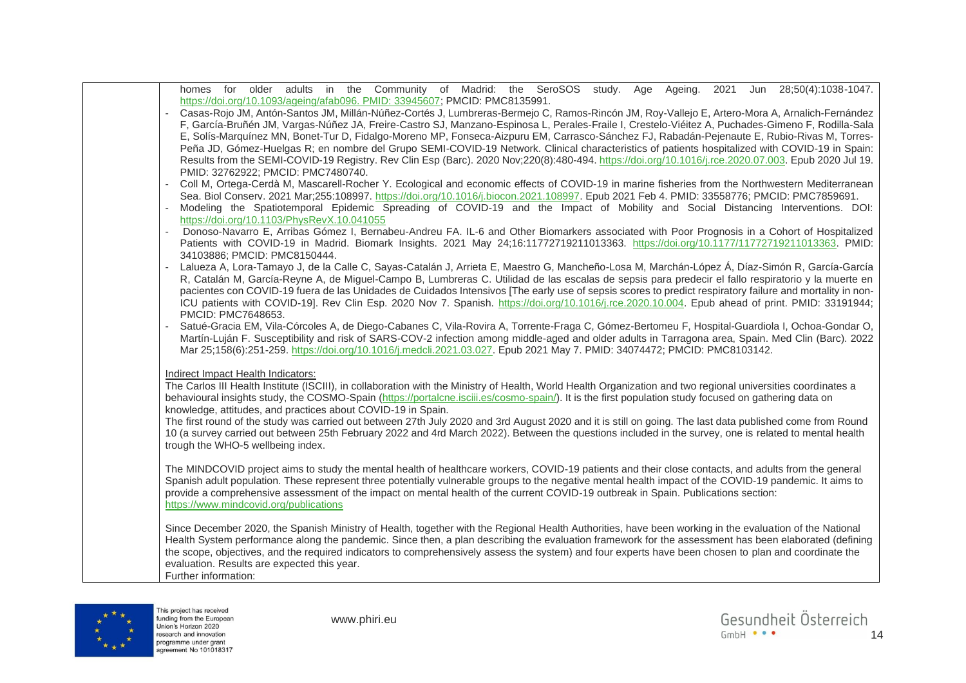| homes for older adults in the Community of Madrid: the SeroSOS study. Age<br>Ageing.<br>Jun 28;50(4):1038-1047.<br>2021                                                                                                     |
|-----------------------------------------------------------------------------------------------------------------------------------------------------------------------------------------------------------------------------|
| https://doi.org/10.1093/ageing/afab096. PMID: 33945607; PMCID: PMC8135991.<br>Casas-Rojo JM, Antón-Santos JM, Millán-Núñez-Cortés J, Lumbreras-Bermejo C, Ramos-Rincón JM, Roy-Vallejo E, Artero-Mora A, Arnalich-Fernández |
| F, García-Bruñén JM, Vargas-Núñez JA, Freire-Castro SJ, Manzano-Espinosa L, Perales-Fraile I, Crestelo-Viéitez A, Puchades-Gimeno F, Rodilla-Sala                                                                           |
| E, Solís-Marquínez MN, Bonet-Tur D, Fidalgo-Moreno MP, Fonseca-Aizpuru EM, Carrasco-Sánchez FJ, Rabadán-Pejenaute E, Rubio-Rivas M, Torres-                                                                                 |
| Peña JD, Gómez-Huelgas R; en nombre del Grupo SEMI-COVID-19 Network. Clinical characteristics of patients hospitalized with COVID-19 in Spain:                                                                              |
| Results from the SEMI-COVID-19 Registry. Rev Clin Esp (Barc). 2020 Nov;220(8):480-494. https://doi.org/10.1016/j.rce.2020.07.003. Epub 2020 Jul 19.                                                                         |
| PMID: 32762922; PMCID: PMC7480740.                                                                                                                                                                                          |
| Coll M, Ortega-Cerdà M, Mascarell-Rocher Y. Ecological and economic effects of COVID-19 in marine fisheries from the Northwestern Mediterranean                                                                             |
| Sea. Biol Conserv. 2021 Mar;255:108997. https://doi.org/10.1016/j.biocon.2021.108997. Epub 2021 Feb 4. PMID: 33558776; PMCID: PMC7859691.                                                                                   |
| Modeling the Spatiotemporal Epidemic Spreading of COVID-19 and the Impact of Mobility and Social Distancing Interventions. DOI:                                                                                             |
| https://doi.org/10.1103/PhysRevX.10.041055                                                                                                                                                                                  |
| Donoso-Navarro E, Arribas Gómez I, Bernabeu-Andreu FA. IL-6 and Other Biomarkers associated with Poor Prognosis in a Cohort of Hospitalized                                                                                 |
| Patients with COVID-19 in Madrid. Biomark Insights. 2021 May 24;16:11772719211013363. https://doi.org/10.1177/11772719211013363. PMID:                                                                                      |
| 34103886; PMCID: PMC8150444.                                                                                                                                                                                                |
| Lalueza A, Lora-Tamayo J, de la Calle C, Sayas-Catalán J, Arrieta E, Maestro G, Mancheño-Losa M, Marchán-López Á, Díaz-Simón R, García-García                                                                               |
| R, Catalán M, García-Reyne A, de Miguel-Campo B, Lumbreras C. Utilidad de las escalas de sepsis para predecir el fallo respiratorio y la muerte en                                                                          |
| pacientes con COVID-19 fuera de las Unidades de Cuidados Intensivos [The early use of sepsis scores to predict respiratory failure and mortality in non-                                                                    |
| ICU patients with COVID-19]. Rev Clin Esp. 2020 Nov 7. Spanish. https://doi.org/10.1016/j.rce.2020.10.004. Epub ahead of print. PMID: 33191944;                                                                             |
| PMCID: PMC7648653.                                                                                                                                                                                                          |
| Satué-Gracia EM, Vila-Córcoles A, de Diego-Cabanes C, Vila-Rovira A, Torrente-Fraga C, Gómez-Bertomeu F, Hospital-Guardiola I, Ochoa-Gondar O,                                                                              |
| Martín-Luján F. Susceptibility and risk of SARS-COV-2 infection among middle-aged and older adults in Tarragona area, Spain. Med Clin (Barc). 2022                                                                          |
| Mar 25;158(6):251-259. https://doi.org/10.1016/j.medcli.2021.03.027. Epub 2021 May 7. PMID: 34074472; PMCID: PMC8103142.                                                                                                    |
|                                                                                                                                                                                                                             |
| Indirect Impact Health Indicators:                                                                                                                                                                                          |
| The Carlos III Health Institute (ISCIII), in collaboration with the Ministry of Health, World Health Organization and two regional universities coordinates a                                                               |
| behavioural insights study, the COSMO-Spain (https://portalcne.isciii.es/cosmo-spain/). It is the first population study focused on gathering data on                                                                       |
| knowledge, attitudes, and practices about COVID-19 in Spain.<br>The first round of the study was carried out between 27th July 2020 and 3rd August 2020 and it is still on going. The last data published come from Round   |
| 10 (a survey carried out between 25th February 2022 and 4rd March 2022). Between the questions included in the survey, one is related to mental health                                                                      |
| trough the WHO-5 wellbeing index.                                                                                                                                                                                           |
|                                                                                                                                                                                                                             |
| The MINDCOVID project aims to study the mental health of healthcare workers, COVID-19 patients and their close contacts, and adults from the general                                                                        |
| Spanish adult population. These represent three potentially vulnerable groups to the negative mental health impact of the COVID-19 pandemic. It aims to                                                                     |
| provide a comprehensive assessment of the impact on mental health of the current COVID-19 outbreak in Spain. Publications section:                                                                                          |
| https://www.mindcovid.org/publications                                                                                                                                                                                      |
|                                                                                                                                                                                                                             |
| Since December 2020, the Spanish Ministry of Health, together with the Regional Health Authorities, have been working in the evaluation of the National                                                                     |
| Health System performance along the pandemic. Since then, a plan describing the evaluation framework for the assessment has been elaborated (defining                                                                       |
| the scope, objectives, and the required indicators to comprehensively assess the system) and four experts have been chosen to plan and coordinate the                                                                       |
| evaluation. Results are expected this year.                                                                                                                                                                                 |
| Further information:                                                                                                                                                                                                        |

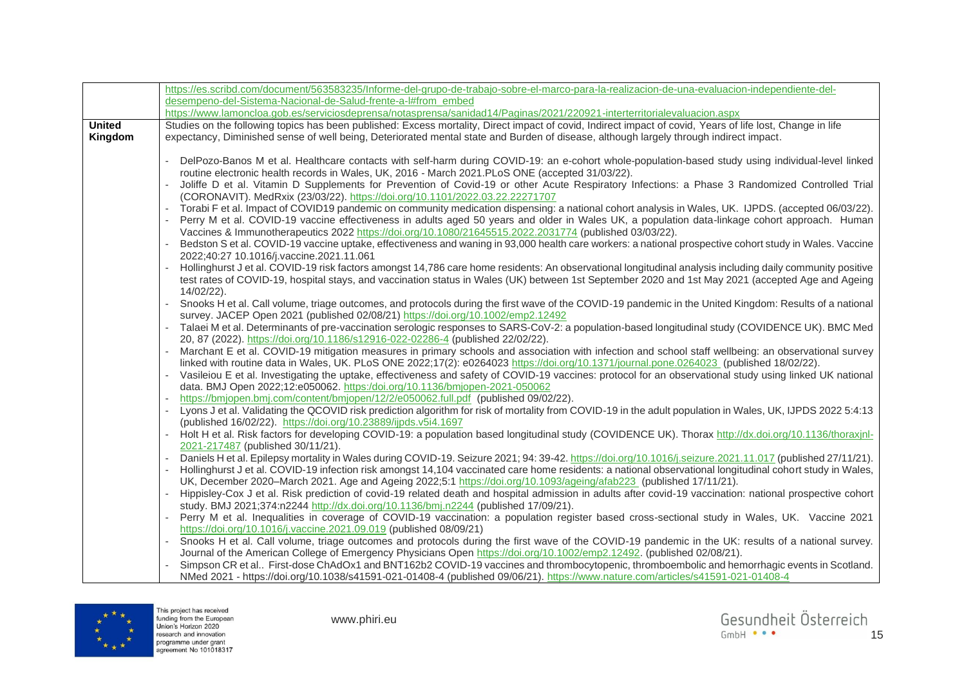|               | https://es.scribd.com/document/563583235/Informe-del-grupo-de-trabajo-sobre-el-marco-para-la-realizacion-de-una-evaluacion-independiente-del-                                                                                           |
|---------------|-----------------------------------------------------------------------------------------------------------------------------------------------------------------------------------------------------------------------------------------|
|               | desempeno-del-Sistema-Nacional-de-Salud-frente-a-l#from_embed                                                                                                                                                                           |
|               | https://www.lamoncloa.gob.es/serviciosdeprensa/notasprensa/sanidad14/Paginas/2021/220921-interterritorialevaluacion.aspx                                                                                                                |
| <b>United</b> | Studies on the following topics has been published: Excess mortality, Direct impact of covid, Indirect impact of covid, Years of life lost, Change in life                                                                              |
| Kingdom       | expectancy, Diminished sense of well being, Deteriorated mental state and Burden of disease, although largely through indirect impact.                                                                                                  |
|               |                                                                                                                                                                                                                                         |
|               | DelPozo-Banos M et al. Healthcare contacts with self-harm during COVID-19: an e-cohort whole-population-based study using individual-level linked                                                                                       |
|               | routine electronic health records in Wales, UK, 2016 - March 2021. PLoS ONE (accepted 31/03/22).                                                                                                                                        |
|               | Joliffe D et al. Vitamin D Supplements for Prevention of Covid-19 or other Acute Respiratory Infections: a Phase 3 Randomized Controlled Trial                                                                                          |
|               | (CORONAVIT). MedRxix (23/03/22). https://doi.org/10.1101/2022.03.22.22271707                                                                                                                                                            |
|               | Torabi F et al. Impact of COVID19 pandemic on community medication dispensing: a national cohort analysis in Wales, UK. IJPDS. (accepted 06/03/22).                                                                                     |
|               | Perry M et al. COVID-19 vaccine effectiveness in adults aged 50 years and older in Wales UK, a population data-linkage cohort approach. Human                                                                                           |
|               | Vaccines & Immunotherapeutics 2022 https://doi.org/10.1080/21645515.2022.2031774 (published 03/03/22).                                                                                                                                  |
|               | Bedston S et al. COVID-19 vaccine uptake, effectiveness and waning in 93,000 health care workers: a national prospective cohort study in Wales. Vaccine                                                                                 |
|               | 2022;40:27 10.1016/j.vaccine.2021.11.061                                                                                                                                                                                                |
|               | Hollinghurst J et al. COVID-19 risk factors amongst 14,786 care home residents: An observational longitudinal analysis including daily community positive                                                                               |
|               | test rates of COVID-19, hospital stays, and vaccination status in Wales (UK) between 1st September 2020 and 1st May 2021 (accepted Age and Ageing                                                                                       |
|               | 14/02/22).                                                                                                                                                                                                                              |
|               | Snooks H et al. Call volume, triage outcomes, and protocols during the first wave of the COVID-19 pandemic in the United Kingdom: Results of a national                                                                                 |
|               | survey. JACEP Open 2021 (published 02/08/21) https://doi.org/10.1002/emp2.12492                                                                                                                                                         |
|               | Talaei M et al. Determinants of pre-vaccination serologic responses to SARS-CoV-2: a population-based longitudinal study (COVIDENCE UK). BMC Med                                                                                        |
|               | 20, 87 (2022). https://doi.org/10.1186/s12916-022-02286-4 (published 22/02/22).<br>Marchant E et al. COVID-19 mitigation measures in primary schools and association with infection and school staff wellbeing: an observational survey |
|               | linked with routine data in Wales, UK. PLoS ONE 2022;17(2): e0264023 https://doi.org/10.1371/journal.pone.0264023 (published 18/02/22).                                                                                                 |
|               | Vasileiou E et al. Investigating the uptake, effectiveness and safety of COVID-19 vaccines: protocol for an observational study using linked UK national                                                                                |
|               | data. BMJ Open 2022;12:e050062. https:/doi.org/10.1136/bmjopen-2021-050062                                                                                                                                                              |
|               | https://bmjopen.bmj.com/content/bmjopen/12/2/e050062.full.pdf (published 09/02/22).                                                                                                                                                     |
|               | Lyons J et al. Validating the QCOVID risk prediction algorithm for risk of mortality from COVID-19 in the adult population in Wales, UK, IJPDS 2022 5:4:13                                                                              |
|               | (published 16/02/22). https://doi.org/10.23889/ijpds.v5i4.1697                                                                                                                                                                          |
|               | Holt H et al. Risk factors for developing COVID-19: a population based longitudinal study (COVIDENCE UK). Thorax http://dx.doi.org/10.1136/thoraxjnl-                                                                                   |
|               | 2021-217487 (published 30/11/21).                                                                                                                                                                                                       |
|               | Daniels H et al. Epilepsy mortality in Wales during COVID-19. Seizure 2021; 94: 39-42. https://doi.org/10.1016/j.seizure.2021.11.017 (published 27/11/21).                                                                              |
|               | Hollinghurst J et al. COVID-19 infection risk amongst 14,104 vaccinated care home residents: a national observational longitudinal cohort study in Wales,                                                                               |
|               | UK, December 2020–March 2021. Age and Ageing 2022;5:1 https://doi.org/10.1093/ageing/afab223 (published 17/11/21).                                                                                                                      |
|               | Hippisley-Cox J et al. Risk prediction of covid-19 related death and hospital admission in adults after covid-19 vaccination: national prospective cohort                                                                               |
|               | study. BMJ 2021;374:n2244 http://dx.doi.org/10.1136/bmj.n2244 (published 17/09/21).                                                                                                                                                     |
|               | Perry M et al. Inequalities in coverage of COVID-19 vaccination: a population register based cross-sectional study in Wales, UK. Vaccine 2021                                                                                           |
|               | https://doi.org/10.1016/j.vaccine.2021.09.019 (published 08/09/21)                                                                                                                                                                      |
|               | Snooks H et al. Call volume, triage outcomes and protocols during the first wave of the COVID-19 pandemic in the UK: results of a national survey.                                                                                      |
|               | Journal of the American College of Emergency Physicians Open https://doi.org/10.1002/emp2.12492. (published 02/08/21).                                                                                                                  |
|               | Simpson CR et al First-dose ChAdOx1 and BNT162b2 COVID-19 vaccines and thrombocytopenic, thromboembolic and hemorrhagic events in Scotland.                                                                                             |
|               | NMed 2021 - https://doi.org/10.1038/s41591-021-01408-4 (published 09/06/21). https://www.nature.com/articles/s41591-021-01408-4                                                                                                         |

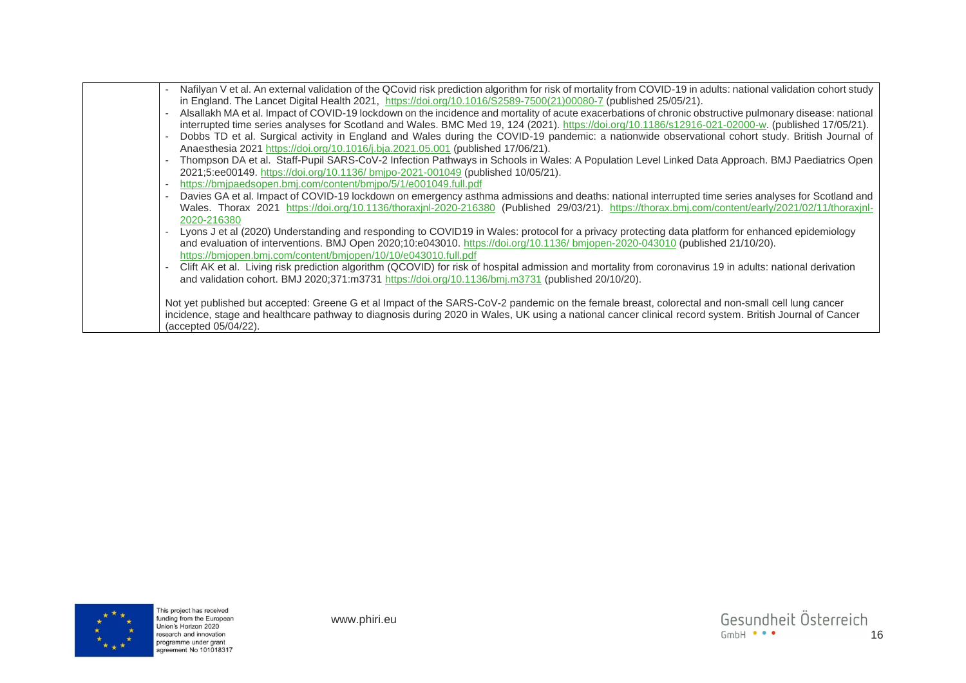| Nafilyan V et al. An external validation of the QCovid risk prediction algorithm for risk of mortality from COVID-19 in adults: national validation cohort study<br>in England. The Lancet Digital Health 2021, https://doi.org/10.1016/S2589-7500(21)00080-7 (published 25/05/21).                            |
|----------------------------------------------------------------------------------------------------------------------------------------------------------------------------------------------------------------------------------------------------------------------------------------------------------------|
| Alsallakh MA et al. Impact of COVID-19 lockdown on the incidence and mortality of acute exacerbations of chronic obstructive pulmonary disease: national<br>interrupted time series analyses for Scotland and Wales. BMC Med 19, 124 (2021). https://doi.org/10.1186/s12916-021-02000-w. (published 17/05/21). |
| Dobbs TD et al. Surgical activity in England and Wales during the COVID-19 pandemic: a nationwide observational cohort study. British Journal of                                                                                                                                                               |
| Anaesthesia 2021 https://doi.org/10.1016/j.bja.2021.05.001 (published 17/06/21).                                                                                                                                                                                                                               |
| Thompson DA et al. Staff-Pupil SARS-CoV-2 Infection Pathways in Schools in Wales: A Population Level Linked Data Approach. BMJ Paediatrics Open                                                                                                                                                                |
| 2021;5:ee00149. https://doi.org/10.1136/ bmjpo-2021-001049 (published 10/05/21).                                                                                                                                                                                                                               |
| https://bmipaedsopen.bmj.com/content/bmjpo/5/1/e001049.full.pdf                                                                                                                                                                                                                                                |
| Davies GA et al. Impact of COVID-19 lockdown on emergency asthma admissions and deaths: national interrupted time series analyses for Scotland and                                                                                                                                                             |
| Wales. Thorax 2021 https://doi.org/10.1136/thoraxjnl-2020-216380 (Published 29/03/21). https://thorax.bmj.com/content/early/2021/02/11/thoraxjnl-                                                                                                                                                              |
| 2020-216380                                                                                                                                                                                                                                                                                                    |
| Lyons J et al (2020) Understanding and responding to COVID19 in Wales: protocol for a privacy protecting data platform for enhanced epidemiology                                                                                                                                                               |
| and evaluation of interventions. BMJ Open 2020;10:e043010. https://doi.org/10.1136/ bmjopen-2020-043010 (published 21/10/20).                                                                                                                                                                                  |
| https://bmjopen.bmj.com/content/bmjopen/10/10/e043010.full.pdf                                                                                                                                                                                                                                                 |
| Clift AK et al. Living risk prediction algorithm (QCOVID) for risk of hospital admission and mortality from coronavirus 19 in adults: national derivation                                                                                                                                                      |
| and validation cohort. BMJ 2020;371:m3731 https://doi.org/10.1136/bmj.m3731 (published 20/10/20).                                                                                                                                                                                                              |
|                                                                                                                                                                                                                                                                                                                |
| Not yet published but accepted: Greene G et al Impact of the SARS-CoV-2 pandemic on the female breast, colorectal and non-small cell lung cancer                                                                                                                                                               |
| incidence, stage and healthcare pathway to diagnosis during 2020 in Wales, UK using a national cancer clinical record system. British Journal of Cancer                                                                                                                                                        |
| (accepted 05/04/22).                                                                                                                                                                                                                                                                                           |
|                                                                                                                                                                                                                                                                                                                |